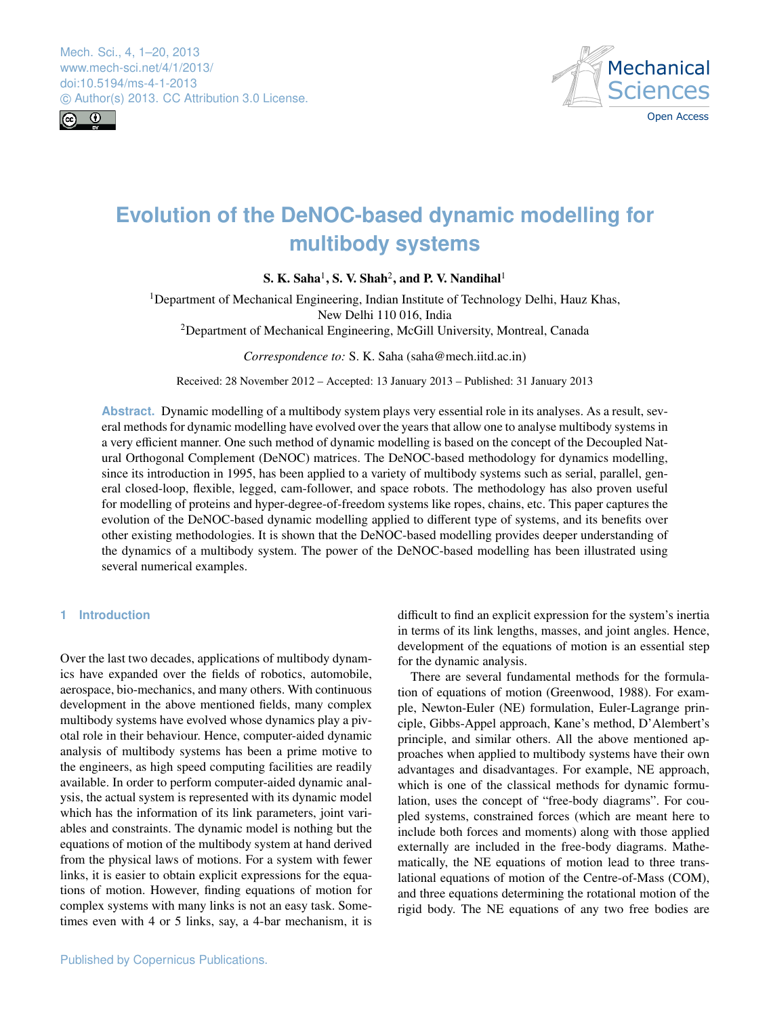Mech. Sci., 4, 1–20, 2013 www.mech-sci.net/4/1/2013/ doi:10.5194/ms-4-1-2013 © Author(s) 2013. CC Attribution 3.0 License.





# **Evolution of the DeNOC-based dynamic modelling for multibody systems**

**S. K. Saha**<sup>1</sup> **, S. V. Shah**<sup>2</sup> **, and P. V. Nandihal**<sup>1</sup>

<sup>1</sup>Department of Mechanical Engineering, Indian Institute of Technology Delhi, Hauz Khas, New Delhi 110 016, India

<sup>2</sup>Department of Mechanical Engineering, McGill University, Montreal, Canada

*Correspondence to:* S. K. Saha (saha@mech.iitd.ac.in)

Received: 28 November 2012 – Accepted: 13 January 2013 – Published: 31 January 2013

**Abstract.** Dynamic modelling of a multibody system plays very essential role in its analyses. As a result, several methods for dynamic modelling have evolved over the years that allow one to analyse multibody systems in a very efficient manner. One such method of dynamic modelling is based on the concept of the Decoupled Natural Orthogonal Complement (DeNOC) matrices. The DeNOC-based methodology for dynamics modelling, since its introduction in 1995, has been applied to a variety of multibody systems such as serial, parallel, general closed-loop, flexible, legged, cam-follower, and space robots. The methodology has also proven useful for modelling of proteins and hyper-degree-of-freedom systems like ropes, chains, etc. This paper captures the evolution of the DeNOC-based dynamic modelling applied to different type of systems, and its benefits over other existing methodologies. It is shown that the DeNOC-based modelling provides deeper understanding of the dynamics of a multibody system. The power of the DeNOC-based modelling has been illustrated using several numerical examples.

# **1 Introduction**

Over the last two decades, applications of multibody dynamics have expanded over the fields of robotics, automobile, aerospace, bio-mechanics, and many others. With continuous development in the above mentioned fields, many complex multibody systems have evolved whose dynamics play a pivotal role in their behaviour. Hence, computer-aided dynamic analysis of multibody systems has been a prime motive to the engineers, as high speed computing facilities are readily available. In order to perform computer-aided dynamic analysis, the actual system is represented with its dynamic model which has the information of its link parameters, joint variables and constraints. The dynamic model is nothing but the equations of motion of the multibody system at hand derived from the physical laws of motions. For a system with fewer links, it is easier to obtain explicit expressions for the equations of motion. However, finding equations of motion for complex systems with many links is not an easy task. Sometimes even with 4 or 5 links, say, a 4-bar mechanism, it is difficult to find an explicit expression for the system's inertia in terms of its link lengths, masses, and joint angles. Hence, development of the equations of motion is an essential step for the dynamic analysis.

There are several fundamental methods for the formulation of equations of motion (Greenwood, 1988). For example, Newton-Euler (NE) formulation, Euler-Lagrange principle, Gibbs-Appel approach, Kane's method, D'Alembert's principle, and similar others. All the above mentioned approaches when applied to multibody systems have their own advantages and disadvantages. For example, NE approach, which is one of the classical methods for dynamic formulation, uses the concept of "free-body diagrams". For coupled systems, constrained forces (which are meant here to include both forces and moments) along with those applied externally are included in the free-body diagrams. Mathematically, the NE equations of motion lead to three translational equations of motion of the Centre-of-Mass (COM), and three equations determining the rotational motion of the rigid body. The NE equations of any two free bodies are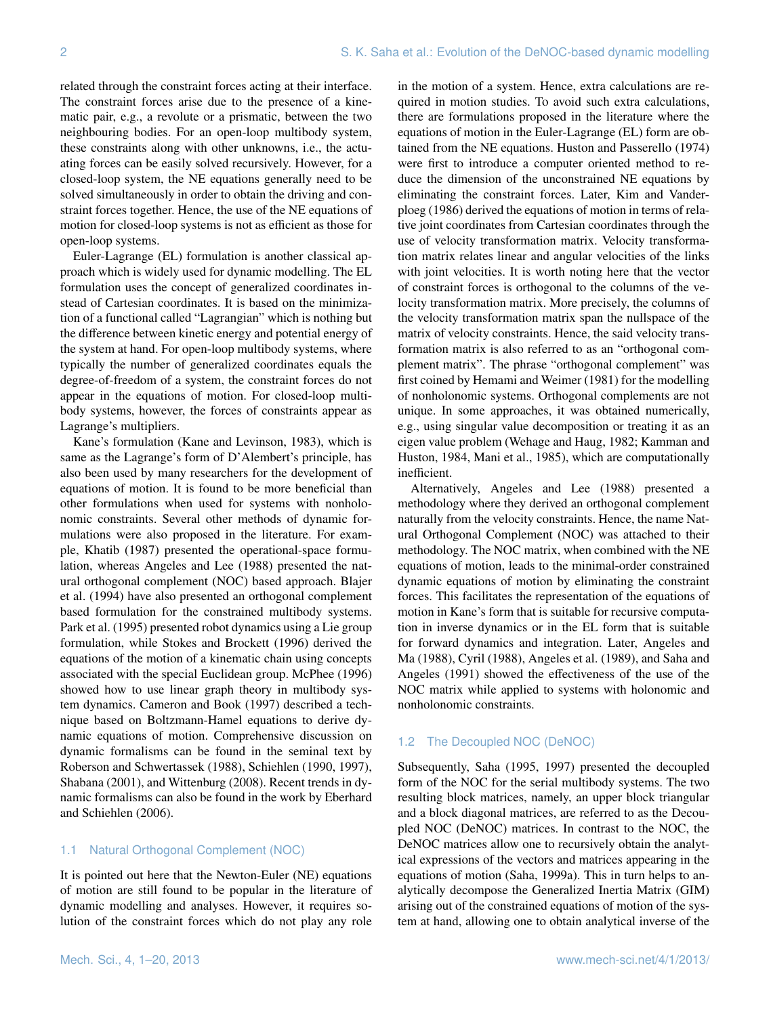related through the constraint forces acting at their interface. The constraint forces arise due to the presence of a kinematic pair, e.g., a revolute or a prismatic, between the two neighbouring bodies. For an open-loop multibody system, these constraints along with other unknowns, i.e., the actuating forces can be easily solved recursively. However, for a closed-loop system, the NE equations generally need to be solved simultaneously in order to obtain the driving and constraint forces together. Hence, the use of the NE equations of motion for closed-loop systems is not as efficient as those for open-loop systems.

Euler-Lagrange (EL) formulation is another classical approach which is widely used for dynamic modelling. The EL formulation uses the concept of generalized coordinates instead of Cartesian coordinates. It is based on the minimization of a functional called "Lagrangian" which is nothing but the difference between kinetic energy and potential energy of the system at hand. For open-loop multibody systems, where typically the number of generalized coordinates equals the degree-of-freedom of a system, the constraint forces do not appear in the equations of motion. For closed-loop multibody systems, however, the forces of constraints appear as Lagrange's multipliers.

Kane's formulation (Kane and Levinson, 1983), which is same as the Lagrange's form of D'Alembert's principle, has also been used by many researchers for the development of equations of motion. It is found to be more beneficial than other formulations when used for systems with nonholonomic constraints. Several other methods of dynamic formulations were also proposed in the literature. For example, Khatib (1987) presented the operational-space formulation, whereas Angeles and Lee (1988) presented the natural orthogonal complement (NOC) based approach. Blajer et al. (1994) have also presented an orthogonal complement based formulation for the constrained multibody systems. Park et al. (1995) presented robot dynamics using a Lie group formulation, while Stokes and Brockett (1996) derived the equations of the motion of a kinematic chain using concepts associated with the special Euclidean group. McPhee (1996) showed how to use linear graph theory in multibody system dynamics. Cameron and Book (1997) described a technique based on Boltzmann-Hamel equations to derive dynamic equations of motion. Comprehensive discussion on dynamic formalisms can be found in the seminal text by Roberson and Schwertassek (1988), Schiehlen (1990, 1997), Shabana (2001), and Wittenburg (2008). Recent trends in dynamic formalisms can also be found in the work by Eberhard and Schiehlen (2006).

#### 1.1 Natural Orthogonal Complement (NOC)

It is pointed out here that the Newton-Euler (NE) equations of motion are still found to be popular in the literature of dynamic modelling and analyses. However, it requires solution of the constraint forces which do not play any role in the motion of a system. Hence, extra calculations are required in motion studies. To avoid such extra calculations, there are formulations proposed in the literature where the equations of motion in the Euler-Lagrange (EL) form are obtained from the NE equations. Huston and Passerello (1974) were first to introduce a computer oriented method to reduce the dimension of the unconstrained NE equations by eliminating the constraint forces. Later, Kim and Vanderploeg (1986) derived the equations of motion in terms of relative joint coordinates from Cartesian coordinates through the use of velocity transformation matrix. Velocity transformation matrix relates linear and angular velocities of the links with joint velocities. It is worth noting here that the vector of constraint forces is orthogonal to the columns of the velocity transformation matrix. More precisely, the columns of the velocity transformation matrix span the nullspace of the matrix of velocity constraints. Hence, the said velocity transformation matrix is also referred to as an "orthogonal complement matrix". The phrase "orthogonal complement" was first coined by Hemami and Weimer (1981) for the modelling of nonholonomic systems. Orthogonal complements are not unique. In some approaches, it was obtained numerically, e.g., using singular value decomposition or treating it as an eigen value problem (Wehage and Haug, 1982; Kamman and Huston, 1984, Mani et al., 1985), which are computationally inefficient.

Alternatively, Angeles and Lee (1988) presented a methodology where they derived an orthogonal complement naturally from the velocity constraints. Hence, the name Natural Orthogonal Complement (NOC) was attached to their methodology. The NOC matrix, when combined with the NE equations of motion, leads to the minimal-order constrained dynamic equations of motion by eliminating the constraint forces. This facilitates the representation of the equations of motion in Kane's form that is suitable for recursive computation in inverse dynamics or in the EL form that is suitable for forward dynamics and integration. Later, Angeles and Ma (1988), Cyril (1988), Angeles et al. (1989), and Saha and Angeles (1991) showed the effectiveness of the use of the NOC matrix while applied to systems with holonomic and nonholonomic constraints.

### 1.2 The Decoupled NOC (DeNOC)

Subsequently, Saha (1995, 1997) presented the decoupled form of the NOC for the serial multibody systems. The two resulting block matrices, namely, an upper block triangular and a block diagonal matrices, are referred to as the Decoupled NOC (DeNOC) matrices. In contrast to the NOC, the DeNOC matrices allow one to recursively obtain the analytical expressions of the vectors and matrices appearing in the equations of motion (Saha, 1999a). This in turn helps to analytically decompose the Generalized Inertia Matrix (GIM) arising out of the constrained equations of motion of the system at hand, allowing one to obtain analytical inverse of the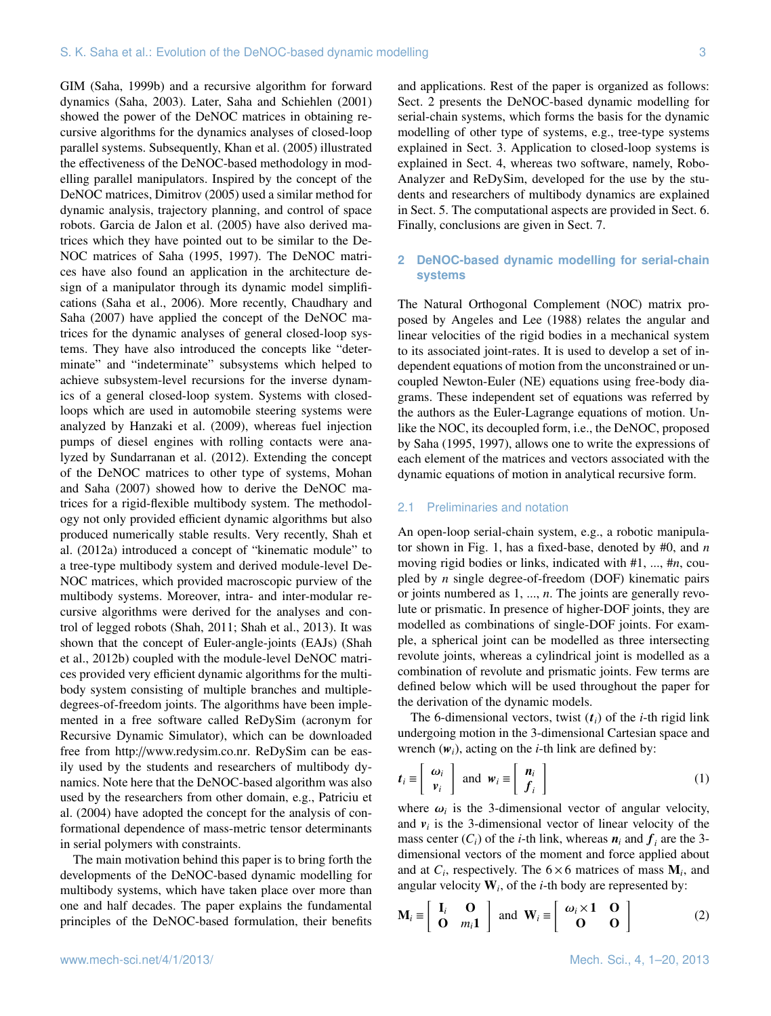#### S. K. Saha et al.: Evolution of the DeNOC-based dynamic modelling 33 33 33 34 35 35 36 36 36 36 36 36 36 37 38 39 30 31 32 35 36 37 38 37 38 38 38 39 30 31 32 35 36 37 38 38 39 30 31 32 35 36 37 38 39 30 31 32 35 36 37 38

GIM (Saha, 1999b) and a recursive algorithm for forward dynamics (Saha, 2003). Later, Saha and Schiehlen (2001) showed the power of the DeNOC matrices in obtaining recursive algorithms for the dynamics analyses of closed-loop parallel systems. Subsequently, Khan et al. (2005) illustrated the effectiveness of the DeNOC-based methodology in modelling parallel manipulators. Inspired by the concept of the DeNOC matrices, Dimitrov (2005) used a similar method for dynamic analysis, trajectory planning, and control of space robots. Garcia de Jalon et al. (2005) have also derived matrices which they have pointed out to be similar to the De-NOC matrices of Saha (1995, 1997). The DeNOC matrices have also found an application in the architecture design of a manipulator through its dynamic model simplifications (Saha et al., 2006). More recently, Chaudhary and Saha (2007) have applied the concept of the DeNOC matrices for the dynamic analyses of general closed-loop systems. They have also introduced the concepts like "determinate" and "indeterminate" subsystems which helped to achieve subsystem-level recursions for the inverse dynamics of a general closed-loop system. Systems with closedloops which are used in automobile steering systems were analyzed by Hanzaki et al. (2009), whereas fuel injection pumps of diesel engines with rolling contacts were analyzed by Sundarranan et al. (2012). Extending the concept of the DeNOC matrices to other type of systems, Mohan and Saha (2007) showed how to derive the DeNOC matrices for a rigid-flexible multibody system. The methodology not only provided efficient dynamic algorithms but also produced numerically stable results. Very recently, Shah et al. (2012a) introduced a concept of "kinematic module" to a tree-type multibody system and derived module-level De-NOC matrices, which provided macroscopic purview of the multibody systems. Moreover, intra- and inter-modular recursive algorithms were derived for the analyses and control of legged robots (Shah, 2011; Shah et al., 2013). It was shown that the concept of Euler-angle-joints (EAJs) (Shah et al., 2012b) coupled with the module-level DeNOC matrices provided very efficient dynamic algorithms for the multibody system consisting of multiple branches and multipledegrees-of-freedom joints. The algorithms have been implemented in a free software called ReDySim (acronym for Recursive Dynamic Simulator), which can be downloaded free from http://www.redysim.co.nr. ReDySim can be easily used by the students and researchers of multibody dynamics. Note here that the DeNOC-based algorithm was also used by the researchers from other domain, e.g., Patriciu et al. (2004) have adopted the concept for the analysis of conformational dependence of mass-metric tensor determinants in serial polymers with constraints.

The main motivation behind this paper is to bring forth the developments of the DeNOC-based dynamic modelling for multibody systems, which have taken place over more than one and half decades. The paper explains the fundamental principles of the DeNOC-based formulation, their benefits and applications. Rest of the paper is organized as follows: Sect. 2 presents the DeNOC-based dynamic modelling for serial-chain systems, which forms the basis for the dynamic modelling of other type of systems, e.g., tree-type systems explained in Sect. 3. Application to closed-loop systems is explained in Sect. 4, whereas two software, namely, Robo-Analyzer and ReDySim, developed for the use by the students and researchers of multibody dynamics are explained in Sect. 5. The computational aspects are provided in Sect. 6. Finally, conclusions are given in Sect. 7.

# **2 DeNOC-based dynamic modelling for serial-chain systems**

The Natural Orthogonal Complement (NOC) matrix proposed by Angeles and Lee (1988) relates the angular and linear velocities of the rigid bodies in a mechanical system to its associated joint-rates. It is used to develop a set of independent equations of motion from the unconstrained or uncoupled Newton-Euler (NE) equations using free-body diagrams. These independent set of equations was referred by the authors as the Euler-Lagrange equations of motion. Unlike the NOC, its decoupled form, i.e., the DeNOC, proposed by Saha (1995, 1997), allows one to write the expressions of each element of the matrices and vectors associated with the dynamic equations of motion in analytical recursive form.

#### 2.1 Preliminaries and notation

An open-loop serial-chain system, e.g., a robotic manipulator shown in Fig. 1, has a fixed-base, denoted by #0, and *n* moving rigid bodies or links, indicated with #1, ..., #*n*, coupled by *n* single degree-of-freedom (DOF) kinematic pairs or joints numbered as 1, ..., *n*. The joints are generally revolute or prismatic. In presence of higher-DOF joints, they are modelled as combinations of single-DOF joints. For example, a spherical joint can be modelled as three intersecting revolute joints, whereas a cylindrical joint is modelled as a combination of revolute and prismatic joints. Few terms are defined below which will be used throughout the paper for the derivation of the dynamic models.

The 6-dimensional vectors, twist  $(t_i)$  of the *i*-th rigid link undergoing motion in the 3-dimensional Cartesian space and wrench  $(w_i)$ , acting on the *i*-th link are defined by:

$$
t_i \equiv \left[ \begin{array}{c} \omega_i \\ v_i \end{array} \right] \text{ and } \mathbf{w}_i \equiv \left[ \begin{array}{c} \mathbf{n}_i \\ f_i \end{array} \right] \tag{1}
$$

where  $\omega_i$  is the 3-dimensional vector of angular velocity, and  $v_i$  is the 3-dimensional vector of linear velocity of the mass center  $(C_i)$  of the *i*-th link, whereas  $n_i$  and  $f_i$  are the 3dimensional vectors of the moment and force applied about and at  $C_i$ , respectively. The  $6 \times 6$  matrices of mass  $M_i$ , and angular velocity  $W_i$ , of the *i*-th body are represented by:

$$
\mathbf{M}_{i} \equiv \left[ \begin{array}{cc} \mathbf{I}_{i} & \mathbf{O} \\ \mathbf{O} & m_{i} \mathbf{1} \end{array} \right] \text{ and } \mathbf{W}_{i} \equiv \left[ \begin{array}{cc} \boldsymbol{\omega}_{i} \times \mathbf{1} & \mathbf{O} \\ \mathbf{O} & \mathbf{O} \end{array} \right] \tag{2}
$$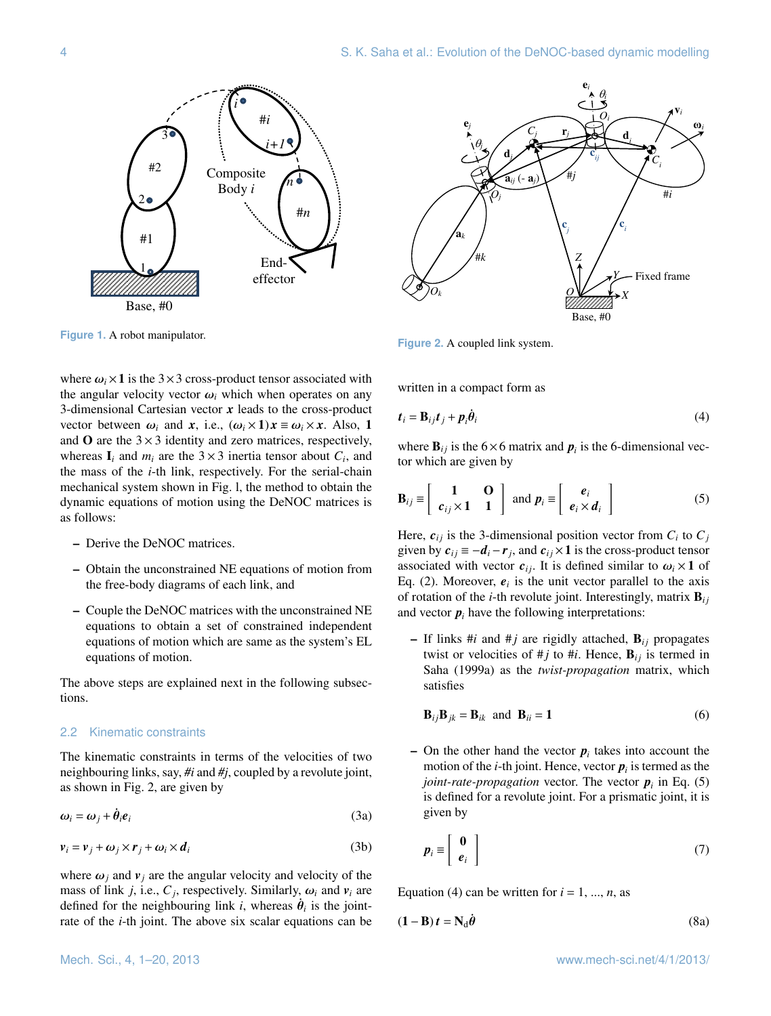

**Figure 1.** A robot manipulator.

**ω***i O<sup>j</sup> Cj*   $\mathbf{\hat{a}}_{ii}$  (-  $\mathbf{a}_{jj}$  $\mathbf{d}_j$ **r***j Oi* **v***i* #*j* #*i* **e***j*  **e***i X Z*  **Fixed frame** *O*   $\theta$  $\theta$ *O<sup>k</sup>* #*k* **d***i Ci* **c** *i* **c** *j* **c** *ij* Base, #0 **a***k*

**Figure 2.** A coupled link system.

written in a compact form as

**ω**

d fr

$$
t_i = \mathbf{B}_{ij}t_j + p_i\dot{\theta}_i
$$
 (4)

where  $\mathbf{B}_{ij}$  is the 6×6 matrix and  $\mathbf{p}_i$  is the 6-dimensional vector which are given by

$$
\mathbf{B}_{ij} \equiv \left[ \begin{array}{cc} 1 & \mathbf{O} \\ c_{ij} \times 1 & 1 \end{array} \right] \text{ and } \mathbf{p}_i \equiv \left[ \begin{array}{c} e_i \\ e_i \times d_i \end{array} \right] \tag{5}
$$

Here,  $c_{ij}$  is the 3-dimensional position vector from  $C_i$  to  $C_j$ given by  $c_{ij} \equiv -d_i - r_j$ , and  $c_{ij} \times 1$  is the cross-product tensor associated with vector  $c_{ij}$ . It is defined similar to  $\omega_i \times 1$  of Eq. (2). Moreover,  $e_i$  is the unit vector parallel to the axis of rotation of the *i*-th revolute joint. Interestingly, matrix  $\mathbf{B}_{ij}$ and vector  $p_i$  have the following interpretations:

 $-$  If links #*i* and #*j* are rigidly attached,  $\mathbf{B}_{ij}$  propagates twist or velocities of #*j* to #*i*. Hence,  $\mathbf{B}_{ij}$  is termed in Saha (1999a) as the *twist-propagation* matrix, which satisfies

$$
\mathbf{B}_{ij}\mathbf{B}_{jk} = \mathbf{B}_{ik} \text{ and } \mathbf{B}_{ii} = \mathbf{1}
$$
 (6)

 $\sim$  On the other hand the vector  $p_i$  takes into account the motion of the *i*-th joint. Hence, vector  $p_i$  is termed as the *joint-rate-propagation* vector. The vector  $p_i$  in Eq. (5) is defined for a revolute joint. For a prismatic joint, it is given by

$$
p_i \equiv \left[ \begin{array}{c} 0 \\ e_i \end{array} \right] \tag{7}
$$

Equation (4) can be written for  $i = 1, ..., n$ , as

$$
(\mathbf{1} - \mathbf{B})t = \mathbf{N}_d \dot{\boldsymbol{\theta}} \tag{8a}
$$

 dynamic equations of motion using the DeNOC matrices is whereas  $\mathbf{I}_i$  and  $m_i$  are the  $3 \times 3$  inertia tensor about  $C_i$ , and where  $\omega_i \times 1$  is the 3  $\times$  3 cross-product tensor associated with the angular velocity vector  $\omega_i$  which when operates on any 3-dimensional Cartesian vector *x* leads to the cross-product vector between  $\omega_i$  and *x*, i.e.,  $(\omega_i \times 1)x \equiv \omega_i \times x$ . Also, 1 and **O** are the  $3 \times 3$  identity and zero matrices, respectively, the mass of the *i*-th link, respectively. For the serial-chain mechanical system shown in Fig. l, the method to obtain the as follows:

- **–** Derive the DeNOC matrices.
- **–** Obtain the unconstrained NE equations of motion from the free-body diagrams of each link, and
- **–** Couple the DeNOC matrices with the unconstrained NE equations to obtain a set of constrained independent equations of motion which are same as the system's EL equations of motion.

The above steps are explained next in the following subsections.

#### 2.2 Kinematic constraints

The kinematic constraints in terms of the velocities of two neighbouring links, say, *#i* and *#j*, coupled by a revolute joint, as shown in Fig. 2, are given by

$$
\omega_i = \omega_j + \dot{\theta}_i e_i \tag{3a}
$$

$$
v_i = v_j + \omega_j \times r_j + \omega_i \times d_i \tag{3b}
$$

where  $\omega_i$  and  $v_j$  are the angular velocity and velocity of the mass of link *j*, i.e.,  $C_j$ , respectively. Similarly,  $\omega_i$  and  $v_i$  are defined for the neighbouring link *i*, whereas  $\dot{\theta}_i$  is the jointrate of the *i*-th joint. The above six scalar equations can be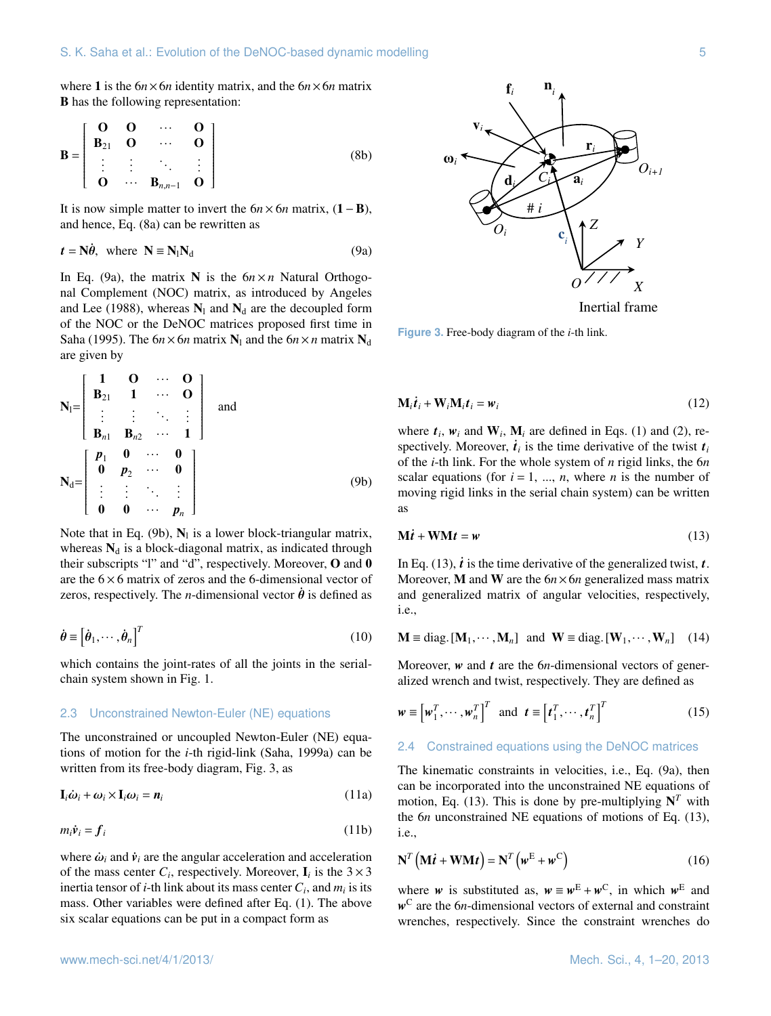where **1** is the  $6n \times 6n$  identity matrix, and the  $6n \times 6n$  matrix **B** has the following representation:

$$
\mathbf{B} = \left[ \begin{array}{cccc} \mathbf{O} & \mathbf{O} & \cdots & \mathbf{O} \\ \mathbf{B}_{21} & \mathbf{O} & \cdots & \mathbf{O} \\ \vdots & \vdots & \ddots & \vdots \\ \mathbf{O} & \cdots & \mathbf{B}_{n,n-1} & \mathbf{O} \end{array} \right] \tag{8b}
$$

It is now simple matter to invert the 6*n* × 6*n* matrix, (**1** −**B**), and hence, Eq. (8a) can be rewritten as

$$
t = N\dot{\theta}, \text{ where } N \equiv N_1 N_d \tag{9a}
$$

In Eq. (9a), the matrix **N** is the  $6n \times n$  Natural Orthogonal Complement (NOC) matrix, as introduced by Angeles and Lee (1988), whereas  $N_1$  and  $N_d$  are the decoupled form of the NOC or the DeNOC matrices proposed first time in Saha (1995). The  $6n \times 6n$  matrix  $N_1$  and the  $6n \times n$  matrix  $N_d$ are given by

$$
\mathbf{N}_{l} = \begin{bmatrix} \mathbf{1} & \mathbf{0} & \cdots & \mathbf{0} \\ \mathbf{B}_{21} & \mathbf{1} & \cdots & \mathbf{0} \\ \vdots & \vdots & \ddots & \vdots \\ \mathbf{B}_{n1} & \mathbf{B}_{n2} & \cdots & \mathbf{1} \end{bmatrix} \text{ and}
$$
\n
$$
\mathbf{N}_{d} = \begin{bmatrix} p_{1} & \mathbf{0} & \cdots & \mathbf{0} \\ \mathbf{0} & p_{2} & \cdots & \mathbf{0} \\ \vdots & \vdots & \ddots & \vdots \\ \mathbf{0} & \mathbf{0} & \cdots & p_{n} \end{bmatrix}
$$
\n(9b)

Note that in Eq.  $(9b)$ ,  $N_1$  is a lower block-triangular matrix, whereas  $N_d$  is a block-diagonal matrix, as indicated through their subscripts "l" and "d", respectively. Moreover, **O** and **0** are the  $6 \times 6$  matrix of zeros and the 6-dimensional vector of zeros, respectively. The *n*-dimensional vector  $\dot{\theta}$  is defined as

$$
\dot{\boldsymbol{\theta}} \equiv \left[ \dot{\boldsymbol{\theta}}_1, \cdots, \dot{\boldsymbol{\theta}}_n \right]^T \tag{10}
$$

which contains the joint-rates of all the joints in the serialchain system shown in Fig. 1.

#### 2.3 Unconstrained Newton-Euler (NE) equations

The unconstrained or uncoupled Newton-Euler (NE) equations of motion for the *i*-th rigid-link (Saha, 1999a) can be written from its free-body diagram, Fig. 3, as

$$
\mathbf{I}_i \dot{\boldsymbol{\omega}}_i + \boldsymbol{\omega}_i \times \mathbf{I}_i \boldsymbol{\omega}_i = \boldsymbol{n}_i \tag{11a}
$$

$$
m_i \dot{v}_i = f_i \tag{11b}
$$

where  $\dot{\omega}_i$  and  $\dot{\nu}_i$  are the angular acceleration and acceleration of the mass center  $C_i$ , respectively. Moreover,  $\mathbf{I}_i$  is the  $3 \times 3$ inertia tensor of *i*-th link about its mass center  $C_i$ , and  $m_i$  is its mass. Other variables were defined after Eq. (1). The above six scalar equations can be put in a compact form as



Inertial frame

**Figure 3.** Free-body diagram of the *i*-th link.

$$
\mathbf{M}_i \dot{\mathbf{t}}_i + \mathbf{W}_i \mathbf{M}_i \mathbf{t}_i = \mathbf{w}_i
$$
 (12)

where  $t_i$ ,  $w_i$  and  $W_i$ ,  $M_i$  are defined in Eqs. (1) and (2), respectively. Moreover,  $\dot{\mathbf{t}}_i$  is the time derivative of the twist  $\mathbf{t}_i$ of the *i*-th link. For the whole system of *n* rigid links, the 6*n* scalar equations (for  $i = 1, ..., n$ , where *n* is the number of moving rigid links in the serial chain system) can be written as

$$
\mathbf{M}\dot{\mathbf{t}} + \mathbf{W}\mathbf{M}\mathbf{t} = \mathbf{w} \tag{13}
$$

In Eq. (13),  $\dot{\mathbf{t}}$  is the time derivative of the generalized twist,  $\mathbf{t}$ . Moreover, **M** and **W** are the  $6n \times 6n$  generalized mass matrix and generalized matrix of angular velocities, respectively, i.e.,

$$
\mathbf{M} \equiv \text{diag.} [\mathbf{M}_1, \cdots, \mathbf{M}_n] \text{ and } \mathbf{W} \equiv \text{diag.} [\mathbf{W}_1, \cdots, \mathbf{W}_n] \quad (14)
$$

Moreover, *w* and *t* are the 6*n*-dimensional vectors of generalized wrench and twist, respectively. They are defined as

$$
\mathbf{w} \equiv \left[ \mathbf{w}_1^T, \cdots, \mathbf{w}_n^T \right]^T \text{ and } \mathbf{t} \equiv \left[ \mathbf{t}_1^T, \cdots, \mathbf{t}_n^T \right]^T \tag{15}
$$

### 2.4 Constrained equations using the DeNOC matrices

The kinematic constraints in velocities, i.e., Eq. (9a), then can be incorporated into the unconstrained NE equations of motion, Eq. (13). This is done by pre-multiplying  $N<sup>T</sup>$  with the 6*n* unconstrained NE equations of motions of Eq. (13), i.e.,

$$
\mathbf{N}^{T} \left( \mathbf{M} \dot{\mathbf{t}} + \mathbf{W} \mathbf{M} \mathbf{t} \right) = \mathbf{N}^{T} \left( \mathbf{w}^{E} + \mathbf{w}^{C} \right)
$$
(16)

where *w* is substituted as,  $w \equiv w^E + w^C$ , in which  $w^E$  and  $w^C$  are the 6*n*-dimensional vectors of external and constraint wrenches, respectively. Since the constraint wrenches do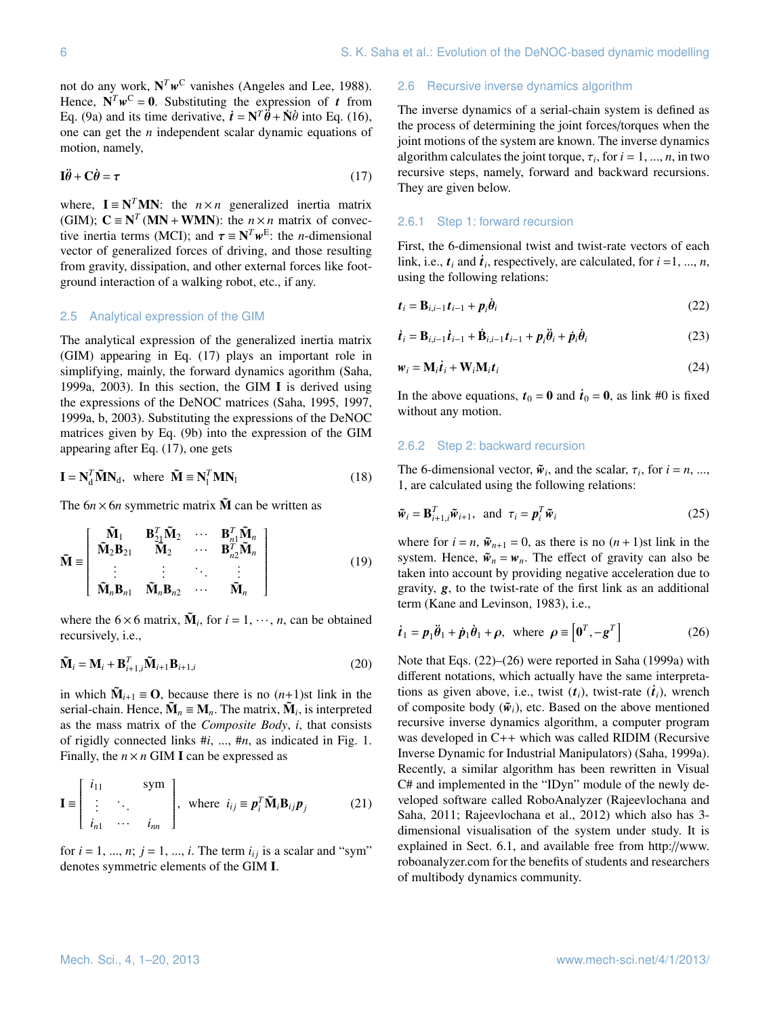not do any work,  $N^T w^C$  vanishes (Angeles and Lee, 1988). Hence,  $N^T w^C = 0$ . Substituting the expression of *t* from Eq. (9a) and its time derivative,  $\vec{\mathbf{i}} = \mathbf{N}^T \ddot{\mathbf{\theta}} + \dot{\mathbf{N}} \dot{\mathbf{\theta}}$  into Eq. (16), one can get the *n* independent scalar dynamic equations of motion, namely,

$$
\mathbf{I}\ddot{\theta} + \mathbf{C}\dot{\theta} = \tau \tag{17}
$$

where,  $I = N^T M N$ : the  $n \times n$  generalized inertia matrix (GIM);  $C \equiv N^T (MN + WMN)$ : the  $n \times n$  matrix of convective inertia terms (MCI); and  $\tau \equiv \mathbf{N}^T \mathbf{w}^{\mathbf{E}}$ : the *n*-dimensional vector of generalized forces of driving, and those resulting from gravity, dissipation, and other external forces like footground interaction of a walking robot, etc., if any.

#### 2.5 Analytical expression of the GIM

The analytical expression of the generalized inertia matrix (GIM) appearing in Eq. (17) plays an important role in simplifying, mainly, the forward dynamics agorithm (Saha, 1999a, 2003). In this section, the GIM **I** is derived using the expressions of the DeNOC matrices (Saha, 1995, 1997, 1999a, b, 2003). Substituting the expressions of the DeNOC matrices given by Eq. (9b) into the expression of the GIM appearing after Eq. (17), one gets

$$
\mathbf{I} = \mathbf{N}_{\mathrm{d}}^T \tilde{\mathbf{M}} \mathbf{N}_{\mathrm{d}}, \text{ where } \tilde{\mathbf{M}} \equiv \mathbf{N}_{\mathrm{l}}^T \mathbf{M} \mathbf{N}_{\mathrm{l}} \tag{18}
$$

The  $6n \times 6n$  symmetric matrix  $\tilde{M}$  can be written as

$$
\tilde{\mathbf{M}} \equiv \left[ \begin{array}{cccc} \tilde{\mathbf{M}}_1 & \mathbf{B}_{21}^T \tilde{\mathbf{M}}_2 & \cdots & \mathbf{B}_{n1}^T \tilde{\mathbf{M}}_n \\ \tilde{\mathbf{M}}_2 \mathbf{B}_{21} & \tilde{\mathbf{M}}_2 & \cdots & \mathbf{B}_{n2}^T \tilde{\mathbf{M}}_n \\ \vdots & \vdots & \ddots & \vdots \\ \tilde{\mathbf{M}}_n \mathbf{B}_{n1} & \tilde{\mathbf{M}}_n \mathbf{B}_{n2} & \cdots & \tilde{\mathbf{M}}_n \end{array} \right] \tag{19}
$$

where the  $6 \times 6$  matrix,  $\tilde{M}_i$ , for  $i = 1, \dots, n$ , can be obtained recursively, i.e.,

$$
\widetilde{\mathbf{M}}_i = \mathbf{M}_i + \mathbf{B}_{i+1,i}^T \widetilde{\mathbf{M}}_{i+1} \mathbf{B}_{i+1,i}
$$
\n(20)

in which  $\mathbf{\tilde{M}}_{i+1} \equiv \mathbf{O}$ , because there is no  $(n+1)$ st link in the serial-chain. Hence,  $\mathbf{\tilde{M}}_n \equiv \mathbf{M}_n$ . The matrix,  $\mathbf{\tilde{M}}_i$ , is interpreted as the mass matrix of the *Composite Body*, *i*, that consists of rigidly connected links #*i*, ..., #*n*, as indicated in Fig. 1. Finally, the  $n \times n$  GIM **I** can be expressed as

$$
\mathbf{I} = \begin{bmatrix} i_{11} & \text{sym} \\ \vdots & \ddots & \vdots \\ i_{n1} & \cdots & i_{nn} \end{bmatrix}, \text{ where } i_{ij} \equiv \mathbf{p}_i^T \tilde{\mathbf{M}}_i \mathbf{B}_{ij} \mathbf{p}_j \qquad (21)
$$

for  $i = 1, ..., n$ ;  $j = 1, ..., i$ . The term  $i_{ij}$  is a scalar and "sym" denotes symmetric elements of the GIM **I**.

#### 2.6 Recursive inverse dynamics algorithm

The inverse dynamics of a serial-chain system is defined as the process of determining the joint forces/torques when the joint motions of the system are known. The inverse dynamics algorithm calculates the joint torque,  $\tau_i$ , for  $i = 1, ..., n$ , in two recursive steps, namely, forward and backward recursions. They are given below.

#### 2.6.1 Step 1: forward recursion

First, the 6-dimensional twist and twist-rate vectors of each link, i.e.,  $t_i$  and  $\dot{t}_i$ , respectively, are calculated, for  $i = 1, ..., n$ , using the following relations:

$$
\boldsymbol{t}_i = \mathbf{B}_{i,i-1} \boldsymbol{t}_{i-1} + \boldsymbol{p}_i \dot{\boldsymbol{\theta}}_i \tag{22}
$$

$$
\dot{\boldsymbol{t}}_i = \mathbf{B}_{i,i-1} \dot{\boldsymbol{t}}_{i-1} + \dot{\mathbf{B}}_{i,i-1} \boldsymbol{t}_{i-1} + \boldsymbol{p}_i \ddot{\boldsymbol{\theta}}_i + \dot{\boldsymbol{p}}_i \dot{\boldsymbol{\theta}}_i
$$
 (23)

$$
w_i = \mathbf{M}_i \dot{\mathbf{t}}_i + \mathbf{W}_i \mathbf{M}_i \mathbf{t}_i
$$
 (24)

In the above equations,  $t_0 = 0$  and  $\dot{t}_0 = 0$ , as link #0 is fixed without any motion.

#### 2.6.2 Step 2: backward recursion

The 6-dimensional vector,  $\tilde{w}_i$ , and the scalar,  $\tau_i$ , for  $i = n, \dots$ , 1, are calculated using the following relations:

$$
\tilde{\boldsymbol{w}}_i = \mathbf{B}_{i+1,i}^T \tilde{\boldsymbol{w}}_{i+1}, \text{ and } \tau_i = \boldsymbol{p}_i^T \tilde{\boldsymbol{w}}_i
$$
\n(25)

where for  $i = n$ ,  $\tilde{w}_{n+1} = 0$ , as there is no  $(n + 1)$ st link in the system. Hence,  $\tilde{w}_n = w_n$ . The effect of gravity can also be taken into account by providing negative acceleration due to gravity, *g*, to the twist-rate of the first link as an additional term (Kane and Levinson, 1983), i.e.,

$$
\dot{\boldsymbol{t}}_1 = \boldsymbol{p}_1 \ddot{\boldsymbol{\theta}}_1 + \dot{\boldsymbol{p}}_1 \dot{\boldsymbol{\theta}}_1 + \boldsymbol{\rho}, \text{ where } \boldsymbol{\rho} \equiv \left[ \boldsymbol{0}^T, -\boldsymbol{g}^T \right] \tag{26}
$$

Note that Eqs. (22)–(26) were reported in Saha (1999a) with different notations, which actually have the same interpretations as given above, i.e., twist  $(t_i)$ , twist-rate  $(\dot{t}_i)$ , wrench of composite body  $(\tilde{\mathbf{w}}_i)$ , etc. Based on the above mentioned recursive inverse dynamics algorithm, a computer program was developed in C++ which was called RIDIM (Recursive Inverse Dynamic for Industrial Manipulators) (Saha, 1999a). Recently, a similar algorithm has been rewritten in Visual C# and implemented in the "IDyn" module of the newly developed software called RoboAnalyzer (Rajeevlochana and Saha, 2011; Rajeevlochana et al., 2012) which also has 3 dimensional visualisation of the system under study. It is explained in Sect. 6.1, and available free from http://www. roboanalyzer.com for the benefits of students and researchers of multibody dynamics community.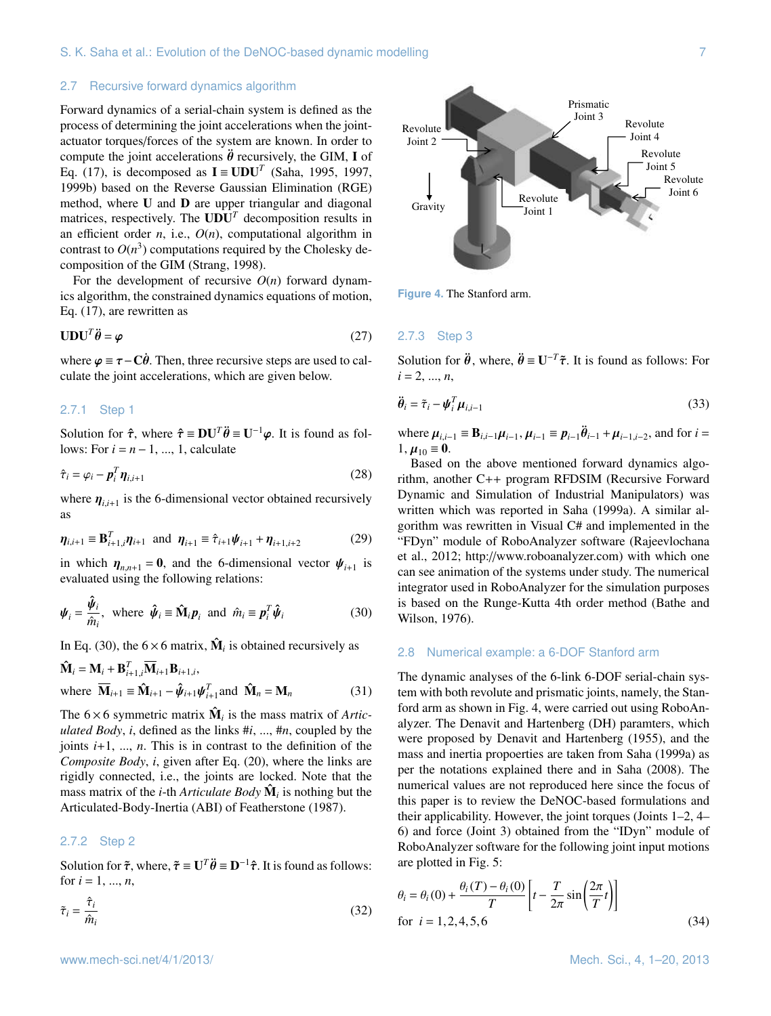# S. K. Saha et al.: Evolution of the DeNOC-based dynamic modelling 7

#### 2.7 Recursive forward dynamics algorithm

Forward dynamics of a serial-chain system is defined as the process of determining the joint accelerations when the jointactuator torques/forces of the system are known. In order to compute the joint accelerations  $\ddot{\theta}$  recursively, the GIM, **I** of Eq. (17), is decomposed as  $I = UDU<sup>T</sup>$  (Saha, 1995, 1997, 1999b) based on the Reverse Gaussian Elimination (RGE) method, where **U** and **D** are upper triangular and diagonal matrices, respectively. The  $\text{UDU}^T$  decomposition results in an efficient order  $n$ , i.e.,  $O(n)$ , computational algorithm in contrast to  $O(n^3)$  computations required by the Cholesky decomposition of the GIM (Strang, 1998).

For the development of recursive  $O(n)$  forward dynamics algorithm, the constrained dynamics equations of motion, Eq. (17), are rewritten as

$$
UDU^{T}\ddot{\theta} = \varphi \tag{27}
$$

where  $\varphi \equiv \tau - C\dot{\theta}$ . Then, three recursive steps are used to calculate the joint accelerations, which are given below.

#### 2.7.1 Step 1

Solution for  $\hat{\tau}$ , where  $\hat{\tau} = \mathbf{D}\mathbf{U}^T\ddot{\theta} = \mathbf{U}^{-1}\varphi$ . It is found as follows: For  $i = n - 1, \dots, 1$ , calculate

$$
\hat{\tau}_i = \varphi_i - \boldsymbol{p}_i^T \boldsymbol{\eta}_{i,i+1} \tag{28}
$$

where  $\eta_{i,i+1}$  is the 6-dimensional vector obtained recursively as

$$
\eta_{i,i+1} \equiv \mathbf{B}_{i+1,i}^T \eta_{i+1} \text{ and } \eta_{i+1} \equiv \hat{\tau}_{i+1} \psi_{i+1} + \eta_{i+1,i+2} \tag{29}
$$

in which  $\eta_{n,n+1} = 0$ , and the 6-dimensional vector  $\psi_{i+1}$  is evaluated using the following relations:

$$
\Psi_i = \frac{\hat{\psi}_i}{\hat{m}_i}, \text{ where } \hat{\psi}_i \equiv \hat{\mathbf{M}}_i \mathbf{p}_i \text{ and } \hat{m}_i \equiv \mathbf{p}_i^T \hat{\psi}_i \tag{30}
$$

In Eq. (30), the  $6 \times 6$  matrix,  $\hat{\mathbf{M}}_i$  is obtained recursively as

$$
\hat{\mathbf{M}}_i = \mathbf{M}_i + \mathbf{B}_{i+1,i}^T \overline{\mathbf{M}}_{i+1} \mathbf{B}_{i+1,i},
$$
  
where  $\overline{\mathbf{M}}_{i+1} \equiv \hat{\mathbf{M}}_{i+1} - \hat{\boldsymbol{\psi}}_{i+1} \boldsymbol{\psi}_{i+1}^T$  and  $\hat{\mathbf{M}}_n = \mathbf{M}_n$  (31)

The  $6 \times 6$  symmetric matrix  $\hat{\mathbf{M}}_i$  is the mass matrix of *Articulated Body*, *i*, defined as the links #*i*, ..., #*n*, coupled by the joints  $i+1$ , ..., *n*. This is in contrast to the definition of the *Composite Body*, *i*, given after Eq. (20), where the links are rigidly connected, i.e., the joints are locked. Note that the mass matrix of the *i*-th *Articulate Body*  $\hat{\mathbf{M}}_i$  is nothing but the Articulated-Body-Inertia (ABI) of Featherstone (1987).

#### 2.7.2 Step 2

Solution for  $\tilde{\tau}$ , where,  $\tilde{\tau} \equiv U^T \ddot{\theta} \equiv D^{-1} \hat{\tau}$ . It is found as follows: for  $i = 1, ..., n$ ,

$$
\tilde{\tau}_i = \frac{\hat{\tau}_i}{\hat{m}_i} \tag{32}
$$



**Figure 4.** The Stanford arm.

#### 2.7.3 Step 3

θ**¨**

Solution for  $\ddot{\theta}$ , where,  $\ddot{\theta} \equiv U^{-T} \tilde{\tau}$ . It is found as follows: For  $i = 2, ..., n$ ,

$$
\ddot{\theta}_i = \tilde{\tau}_i - \psi_i^T \mu_{i,i-1} \tag{33}
$$

where  $\mu_{i,i-1} \equiv \mathbf{B}_{i,i-1}\mu_{i-1}, \mu_{i-1} \equiv \mathbf{p}_{i-1}\ddot{\theta}_{i-1} + \mu_{i-1,i-2}$ , and for  $i =$ 1,  $\mu_{10}$  ≡ 0.

Based on the above mentioned forward dynamics algorithm, another C++ program RFDSIM (Recursive Forward Dynamic and Simulation of Industrial Manipulators) was written which was reported in Saha (1999a). A similar algorithm was rewritten in Visual C# and implemented in the "FDyn" module of RoboAnalyzer software (Rajeevlochana et al., 2012; http://www.roboanalyzer.com) with which one can see animation of the systems under study. The numerical integrator used in RoboAnalyzer for the simulation purposes is based on the Runge-Kutta 4th order method (Bathe and Wilson, 1976).

#### 2.8 Numerical example: a 6-DOF Stanford arm

The dynamic analyses of the 6-link 6-DOF serial-chain system with both revolute and prismatic joints, namely, the Stanford arm as shown in Fig. 4, were carried out using RoboAnalyzer. The Denavit and Hartenberg (DH) paramters, which were proposed by Denavit and Hartenberg (1955), and the mass and inertia propoerties are taken from Saha (1999a) as per the notations explained there and in Saha (2008). The numerical values are not reproduced here since the focus of this paper is to review the DeNOC-based formulations and their applicability. However, the joint torques (Joints 1–2, 4– 6) and force (Joint 3) obtained from the "IDyn" module of RoboAnalyzer software for the following joint input motions are plotted in Fig. 5:

$$
\theta_i = \theta_i(0) + \frac{\theta_i(T) - \theta_i(0)}{T} \left[ t - \frac{T}{2\pi} \sin\left(\frac{2\pi}{T}t\right) \right]
$$
  
for  $i = 1, 2, 4, 5, 6$  (34)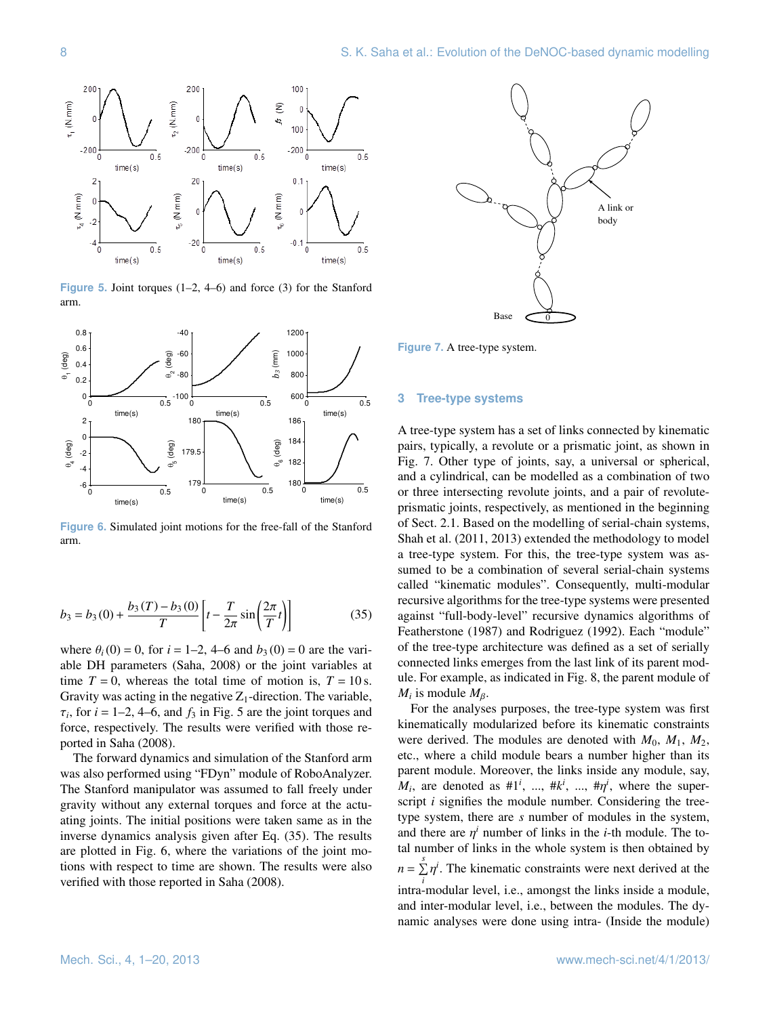

**Figure 5.** Joint torques (1–2, 4–6) and force (3) for the Stanford arm.



**Figure 6.** Simulated joint motions for the free-fall of the Stanford arm.

$$
b_3 = b_3(0) + \frac{b_3(T) - b_3(0)}{T} \left[ t - \frac{T}{2\pi} \sin\left(\frac{2\pi}{T}t\right) \right]
$$
(35)

where  $\theta_i(0) = 0$ , for  $i = 1-2$ , 4–6 and  $b_3(0) = 0$  are the variable DH parameters (Saha, 2008) or the joint variables at time  $T = 0$ , whereas the total time of motion is,  $T = 10$  s. Gravity was acting in the negative  $Z_1$ -direction. The variable,  $\tau_i$ , for  $i = 1-2$ , 4–6, and  $f_3$  in Fig. 5 are the joint torques and force, respectively. The results were verified with those reported in Saha (2008).

The forward dynamics and simulation of the Stanford arm was also performed using "FDyn" module of RoboAnalyzer. The Stanford manipulator was assumed to fall freely under gravity without any external torques and force at the actuating joints. The initial positions were taken same as in the inverse dynamics analysis given after Eq. (35). The results are plotted in Fig. 6, where the variations of the joint motions with respect to time are shown. The results were also verified with those reported in Saha (2008).



**Figure 7.** A tree-type system.

### **3 Tree-type systems**

0 of the tree-type architecture was defined as a set of serially A tree-type system has a set of links connected by kinematic sumed to be a combination of several<sub>β</sub> serial-chain systems Shah et al. (2011, 2013) extended the methodology to model pairs, typically, a revolute or a prismatic joint, as shown in Fig. 7. Other type of joints, say, a universal or spherical, and a cylindrical, can be modelled as a combination of two or three intersecting revolute joints, and a pair of revoluteprismatic joints, respectively, as mentioned in the beginning of Sect. 2.1. Based on the modelling of serial-chain systems, a tree-type system. For this, the tree-type system was ascalled "kinematic modules". Consequently, multi-modular recursive algorithms for the tree-type systems were presented against "full-body-level" recursive dynamics algorithms of Featherstone (1987) and Rodriguez (1992). Each "module" connected links emerges from the last link of its parent module. For example, as indicated in Fig. 8, the parent module of  $M_i$  is module  $M_\beta$ .

For the analyses purposes, the tree-type system was first kinematically modularized before its kinematic constraints were derived. The modules are denoted with  $M_0$ ,  $M_1$ ,  $M_2$ , etc., where a child module bears a number higher than its parent module. Moreover, the links inside any module, say,  $M_i$ , are denoted as  $\#1^i$ , ...,  $\#k^i$ , ...,  $\# \eta^i$ , where the superscript *i* signifies the module number. Considering the treetype system, there are *s* number of modules in the system, and there are  $\eta^i$  number of links in the *i*-th module. The total number of links in the whole system is then obtained by *n* =  $\sum_{i=1}^{s} \eta^{i}$ . The kinematic constraints were next derived at the *i* intra-modular level, i.e., amongst the links inside a module, and inter-modular level, i.e., between the modules. The dynamic analyses were done using intra- (Inside the module)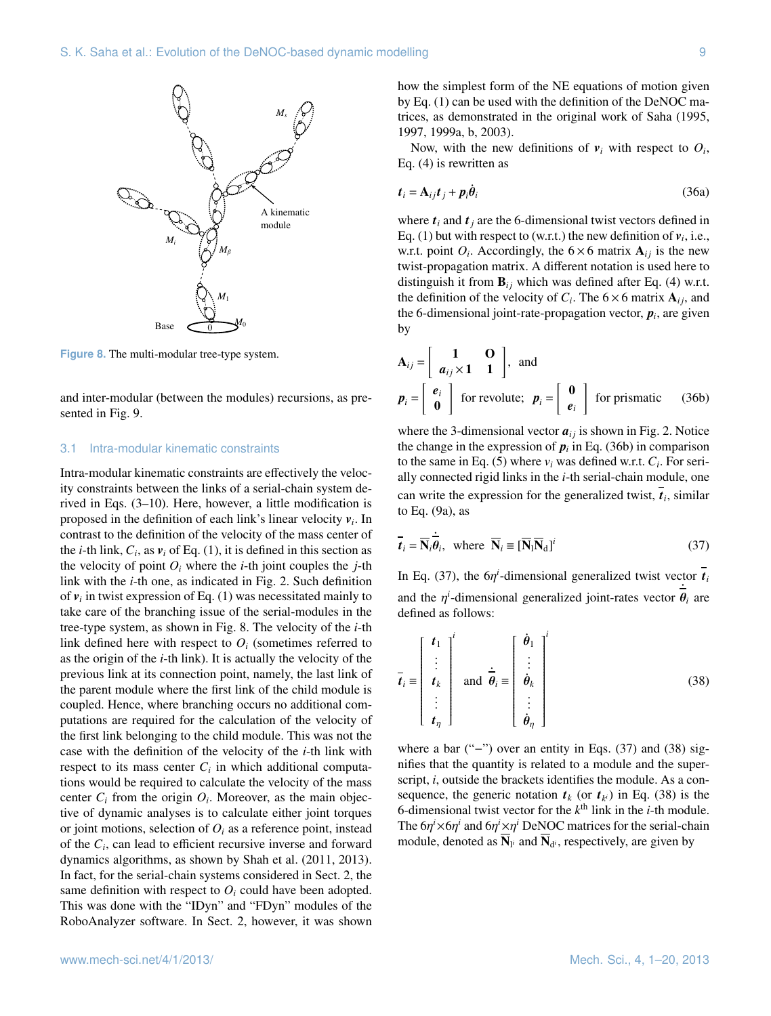

**Figure 8.** The multi-modular tree-type system.

and inter-modular (between the modules) recursions, as presented in Fig. 9.

#### 3.1 Intra-modular kinematic constraints

Intra-modular kinematic constraints are effectively the velocity constraints between the links of a serial-chain system derived in Eqs. (3–10). Here, however, a little modification is proposed in the definition of each link's linear velocity *v<sup>i</sup>* . In contrast to the definition of the velocity of the mass center of the *i*-th link,  $C_i$ , as  $v_i$  of Eq. (1), it is defined in this section as the velocity of point  $O_i$  where the *i*-th joint couples the *j*-th link with the *i*-th one, as indicated in Fig. 2. Such definition of  $v_i$  in twist expression of Eq. (1) was necessitated mainly to take care of the branching issue of the serial-modules in the tree-type system, as shown in Fig. 8. The velocity of the *i*-th link defined here with respect to  $O_i$  (sometimes referred to as the origin of the *i*-th link). It is actually the velocity of the previous link at its connection point, namely, the last link of the parent module where the first link of the child module is coupled. Hence, where branching occurs no additional computations are required for the calculation of the velocity of the first link belonging to the child module. This was not the case with the definition of the velocity of the *i*-th link with respect to its mass center  $C_i$  in which additional computations would be required to calculate the velocity of the mass center  $C_i$  from the origin  $O_i$ . Moreover, as the main objective of dynamic analyses is to calculate either joint torques or joint motions, selection of  $O_i$  as a reference point, instead of the  $C_i$ , can lead to efficient recursive inverse and forward dynamics algorithms, as shown by Shah et al. (2011, 2013). In fact, for the serial-chain systems considered in Sect. 2, the same definition with respect to  $O_i$  could have been adopted. This was done with the "IDyn" and "FDyn" modules of the RoboAnalyzer software. In Sect. 2, however, it was shown how the simplest form of the NE equations of motion given by Eq. (1) can be used with the definition of the DeNOC matrices, as demonstrated in the original work of Saha (1995, 1997, 1999a, b, 2003).

Now, with the new definitions of  $v_i$  with respect to  $O_i$ , Eq. (4) is rewritten as

$$
t_i = A_{ij}t_j + p_i\dot{\theta}_i
$$
 (36a)

where  $t_i$  and  $t_j$  are the 6-dimensional twist vectors defined in Eq. (1) but with respect to (w.r.t.) the new definition of  $v_i$ , i.e., w.r.t. point  $O_i$ . Accordingly, the  $6 \times 6$  matrix  $A_{ij}$  is the new twist-propagation matrix. A different notation is used here to distinguish it from  $\mathbf{B}_{ij}$  which was defined after Eq. (4) w.r.t. the definition of the velocity of  $C_i$ . The 6 × 6 matrix  $A_{ij}$ , and the 6-dimensional joint-rate-propagation vector,  $p_i$ , are given by

$$
\mathbf{A}_{ij} = \begin{bmatrix} \mathbf{1} & \mathbf{O} \\ \mathbf{a}_{ij} \times \mathbf{1} & \mathbf{1} \end{bmatrix}, \text{ and}
$$
\n
$$
\mathbf{p}_i = \begin{bmatrix} \mathbf{e}_i \\ \mathbf{0} \end{bmatrix} \text{ for revolute}; \quad \mathbf{p}_i = \begin{bmatrix} \mathbf{0} \\ \mathbf{e}_i \end{bmatrix} \text{ for prismatic} \quad (36b)
$$

where the 3-dimensional vector  $a_{ij}$  is shown in Fig. 2. Notice the change in the expression of  $p_i$  in Eq. (36b) in comparison to the same in Eq. (5) where  $v_i$  was defined w.r.t.  $C_i$ . For serially connected rigid links in the *i*-th serial-chain module, one can write the expression for the generalized twist,  $t_i$ , similar to Eq. (9a), as

$$
\vec{t}_i = \overrightarrow{\mathbf{N}}_i \dot{\vec{\theta}}_i, \text{ where } \overrightarrow{\mathbf{N}}_i \equiv [\overrightarrow{\mathbf{N}}_i \overrightarrow{\mathbf{N}}_d]^i
$$
 (37)

In Eq. (37), the  $6\eta^i$ -dimensional generalized twist vector  $t_i$ and the  $\eta^i$ -dimensional generalized joint-rates vector  $\vec{\theta}_i$  are defined as follows:

$$
\vec{t}_i \equiv \begin{bmatrix} t_1 \\ \vdots \\ t_k \\ \vdots \\ t_\eta \end{bmatrix} \text{ and } \dot{\vec{\theta}}_i \equiv \begin{bmatrix} \dot{\theta}_1 \\ \vdots \\ \dot{\theta}_k \\ \vdots \\ \dot{\theta}_\eta \end{bmatrix}^i
$$
(38)

where a bar ("−") over an entity in Eqs. (37) and (38) signifies that the quantity is related to a module and the superscript, *i*, outside the brackets identifies the module. As a consequence, the generic notation  $t_k$  (or  $t_{k}$ ) in Eq. (38) is the 6-dimensional twist vector for the  $k^{\text{th}}$  link in the *i*-th module. The  $6\eta^i \times 6\eta^i$  and  $6\eta^i \times \eta^i$  DeNOC matrices for the serial-chain module, denoted as  $N_{l}$  and  $N_{d}$ , respectively, are given by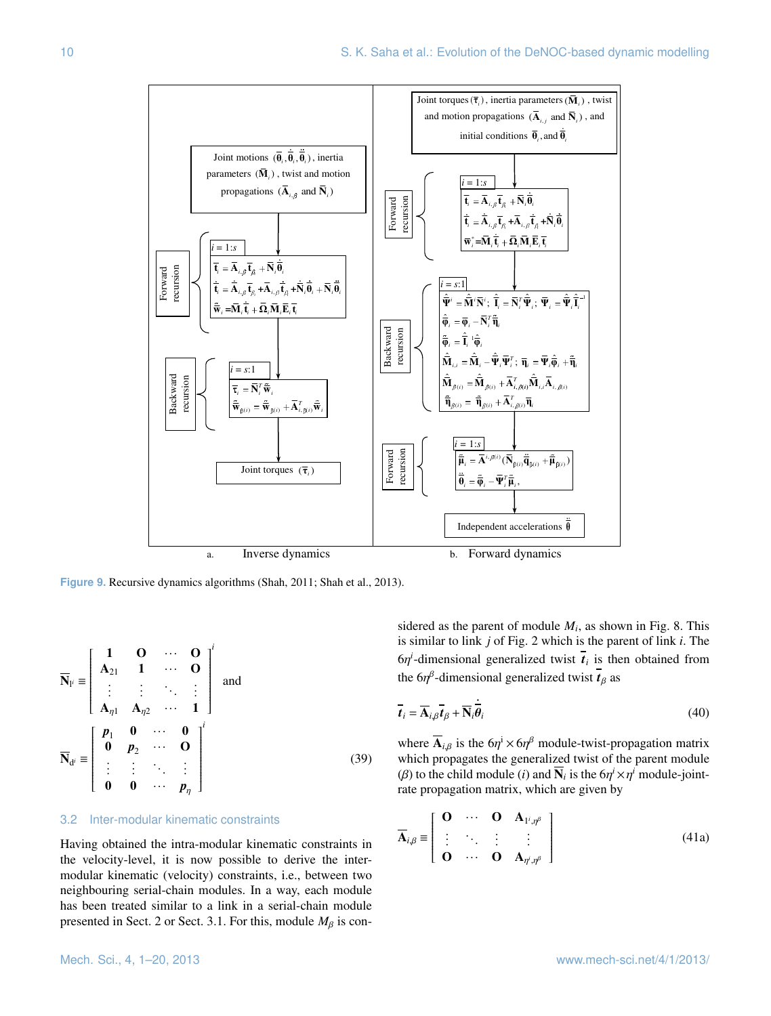

**Figure 9.** Recursive dynamics algorithms (Shah, 2011; Shah et al., 2013).

$$
\overline{\mathbf{N}}_{l} \equiv \begin{bmatrix}\n\mathbf{1} & \mathbf{O} & \cdots & \mathbf{O} \\
\mathbf{A}_{21} & \mathbf{1} & \cdots & \mathbf{O} \\
\vdots & \vdots & \ddots & \vdots \\
\mathbf{A}_{\eta 1} & \mathbf{A}_{\eta 2} & \cdots & \mathbf{1}\n\end{bmatrix}^{\mathbf{i}}
$$
 and  
\n
$$
\overline{\mathbf{N}}_{d} \equiv \begin{bmatrix}\nP_1 & \mathbf{0} & \cdots & \mathbf{0} \\
\mathbf{0} & P_2 & \cdots & \mathbf{O} \\
\vdots & \vdots & \ddots & \vdots \\
\mathbf{0} & \mathbf{0} & \cdots & P_{\eta}\n\end{bmatrix}^{\mathbf{i}}
$$
(39)

#### 3.2 Inter-modular kinematic constraints

Having obtained the intra-modular kinematic constraints in the velocity-level, it is now possible to derive the intermodular kinematic (velocity) constraints, i.e., between two neighbouring serial-chain modules. In a way, each module has been treated similar to a link in a serial-chain module presented in Sect. 2 or Sect. 3.1. For this, module  $M_\beta$  is con-

sidered as the parent of module  $M_i$ , as shown in Fig. 8. This is similar to link *j* of Fig. 2 which is the parent of link *i*. The  $6\eta^i$ -dimensional generalized twist  $t_i$  is then obtained from the  $6\eta^{\beta}$ -dimensional generalized twist  $t_{\beta}$  as

$$
\overline{t}_i = \overline{\mathbf{A}}_{i\beta}\overline{t}_\beta + \overline{\mathbf{N}}_i\overline{\dot{\theta}}_i
$$
 (40)

where  $\overline{A}_{i,\beta}$  is the  $6\eta^i \times 6\eta^\beta$  module-twist-propagation matrix which propagates the generalized twist of the parent module (*β*) to the child module (*i*) and  $\overline{N}_i$  is the  $6\eta^i \times \eta^i$  module-jointrate propagation matrix, which are given by

$$
\overline{\mathbf{A}}_{i,\beta} \equiv \left[ \begin{array}{ccc} \mathbf{O} & \cdots & \mathbf{O} & \mathbf{A}_{1^i,\eta^\beta} \\ \vdots & \ddots & \vdots & \vdots \\ \mathbf{O} & \cdots & \mathbf{O} & \mathbf{A}_{\eta^i,\eta^\beta} \end{array} \right] \tag{41a}
$$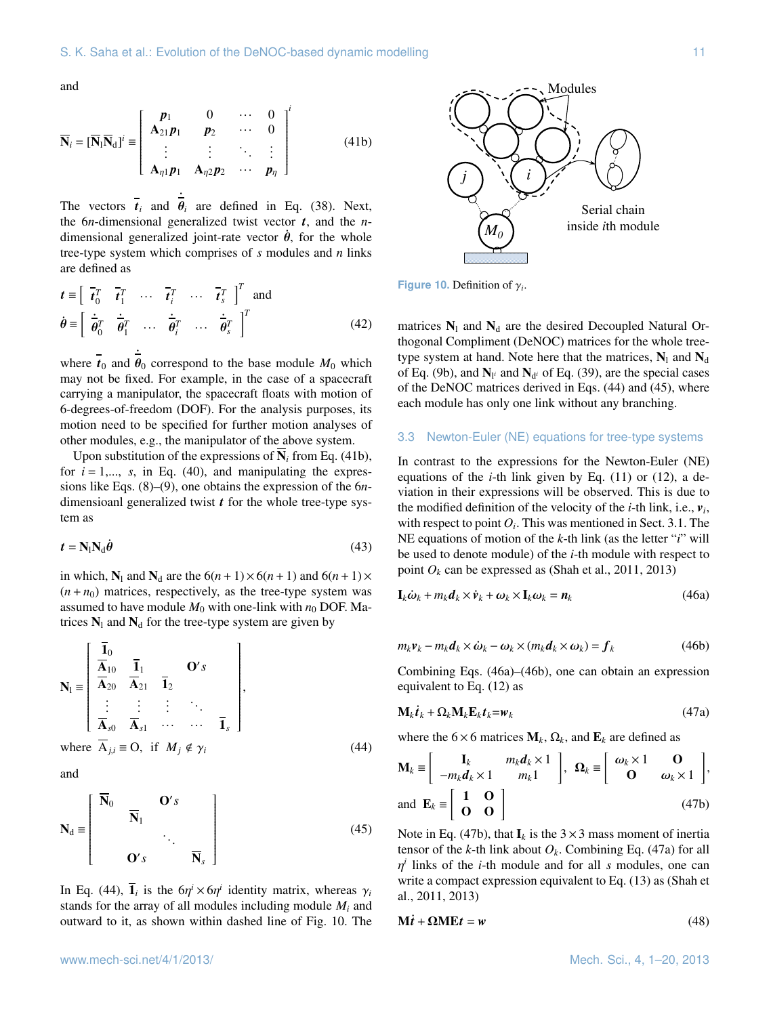and

$$
\overline{\mathbf{N}}_i = [\overline{\mathbf{N}}_1 \overline{\mathbf{N}}_d]^i \equiv \begin{bmatrix} p_1 & 0 & \cdots & 0 \\ \mathbf{A}_{21} p_1 & p_2 & \cdots & 0 \\ \vdots & \vdots & \ddots & \vdots \\ \mathbf{A}_{\eta 1} p_1 & \mathbf{A}_{\eta 2} p_2 & \cdots & p_{\eta} \end{bmatrix}^i
$$
(41b)

The vectors  $\vec{t}_i$  and  $\dot{\vec{\theta}}_i$  are defined in Eq. (38). Next, the 6*n*-dimensional generalized twist vector *t*, and the *n*dimensional generalized joint-rate vector  $\dot{\theta}$ , for the whole tree-type system which comprises of *s* modules and *n* links are defined as

$$
\boldsymbol{t} \equiv \begin{bmatrix} \overline{t}_0^T & \overline{t}_1^T & \cdots & \overline{t}_i^T & \cdots & \overline{t}_s^T \end{bmatrix}^T \text{ and}
$$
  
\n
$$
\dot{\boldsymbol{\theta}} \equiv \begin{bmatrix} \dot{\overline{\boldsymbol{\theta}}}_0^T & \dot{\overline{\boldsymbol{\theta}}}_1^T & \cdots & \dot{\overline{\boldsymbol{\theta}}}_s^T & \cdots & \dot{\overline{\boldsymbol{\theta}}}_s^T \end{bmatrix}^T
$$
 (42)

where  $\vec{t}_0$  and  $\dot{\vec{\theta}}_0$  correspond to the base module  $M_0$  which may not be fixed. For example, in the case of a spacecraft carrying a manipulator, the spacecraft floats with motion of 6-degrees-of-freedom (DOF). For the analysis purposes, its motion need to be specified for further motion analyses of other modules, e.g., the manipulator of the above system.

Upon substitution of the expressions of  $N_i$  from Eq. (41b), for  $i = 1,..., s$ , in Eq. (40), and manipulating the expressions like Eqs. (8)–(9), one obtains the expression of the 6*n*dimensioanl generalized twist *t* for the whole tree-type system as

$$
t = N_1 N_d \dot{\theta} \tag{43}
$$

in which,  $N_1$  and  $N_d$  are the  $6(n + 1) \times 6(n + 1)$  and  $6(n + 1) \times$  $(n + n_0)$  matrices, respectively, as the tree-type system was assumed to have module  $M_0$  with one-link with  $n_0$  DOF. Matrices  $N_1$  and  $N_d$  for the tree-type system are given by

$$
\mathbf{N}_{\mathbf{l}} \equiv \begin{bmatrix} \frac{\mathbf{1}_0}{\mathbf{A}_{10}} & \frac{\mathbf{\overline{1}}_1}{\mathbf{A}_{20}} & \frac{\mathbf{\overline{1}}_1}{\mathbf{A}_{21}} & \mathbf{\overline{1}}_2 \\ \vdots & \vdots & \vdots & \ddots \\ \frac{\mathbf{\overline{A}}_{s0}}{\mathbf{A}_{s0}} & \frac{\mathbf{\overline{A}}_{s1}}{\mathbf{A}_{s1}} & \cdots & \cdots & \frac{\mathbf{\overline{1}}_s}{\mathbf{A}_s} \end{bmatrix},
$$

where  $A_{j,i} \equiv 0$ , if  $M_j \notin \gamma_i$  (44)

and

$$
\mathbf{N}_{\mathrm{d}} \equiv \begin{bmatrix} \overline{\mathbf{N}}_{0} & \mathbf{O}'s \\ & \overline{\mathbf{N}}_{1} & \\ & & \ddots & \\ & & & \overline{\mathbf{N}}_{s} \end{bmatrix}
$$
(45)

In Eq. (44),  $\overline{1}_i$  is the  $6\eta^i \times 6\eta^i$  identity matrix, whereas  $\gamma_i$ stands for the array of all modules including module *M<sup>i</sup>* and outward to it, as shown within dashed line of Fig. 10. The



**Figure 10.** Definition of  $\gamma_i$ .

matrices  $N_1$  and  $N_d$  are the desired Decoupled Natural Or- $#3<sup>1</sup>$ thogonal Compliment (DeNOC) matrices for the whole treetype system at hand. Note here that the matrices,  $N_1$  and  $N_d$ of Eq. (9b), and  $N_{1^i}$  and  $N_{d^i}$  of Eq. (39), are the special cases of the DeNOC matrices derived in Eqs. (44) and (45), where each module has only one link without any branching.

# 3.3 Newton-Euler (NE) equations for tree-type systems

viation in their expressions will be observed. This is due to NE equations of motion of the *k*-th link (as the letter  $i\ddot{i}$ " will equations of the *i*-th link given by Eq. (11) or (12), a depoint  $O_k$  can be expressed as (Shah et al., 2011, 2013) be used to denote module) of the *i*-th module with respect to In contrast to the expressions for the Newton-Euler (NE) with respect to point  $O_i$ . This was mentioned in Sect. 3.1. The the modified definition of the velocity of the *i*-th link, i.e.,  $v_i$ ,

$$
\mathbf{I}_{k}\dot{\boldsymbol{\omega}}_{k} + m_{k}\boldsymbol{d}_{k} \times \dot{\boldsymbol{v}}_{k} + \boldsymbol{\omega}_{k} \times \mathbf{I}_{k}\boldsymbol{\omega}_{k} = \boldsymbol{n}_{k} \qquad \qquad \frac{3^{2}}{H_{0}^{3}} \qquad \qquad \frac{3^{2}}{M} \qquad (46a)
$$

$$
m_{k}v_{k} - m_{k}d_{k} \times \dot{\omega}_{k} - \omega_{k} \times (m_{k}d_{k} \times \omega_{k}) = f_{k}
$$
 (46b)

Combining Eqs. (46a)–(46b), one can obtain an expression equivalent to Eq. (12) as

$$
\mathbf{M}_k \dot{\mathbf{t}}_k + \mathbf{\Omega}_k \mathbf{M}_k \mathbf{E}_k \mathbf{t}_k = \mathbf{w}_k \tag{47a}
$$

where the  $6 \times 6$  matrices  $M_k$ ,  $\Omega_k$ , and  $E_k$  are defined as

$$
\mathbf{M}_{k} \equiv \begin{bmatrix} \mathbf{I}_{k} & m_{k}d_{k} \times 1 \\ -m_{k}d_{k} \times 1 & m_{k}1 \end{bmatrix}, \ \mathbf{\Omega}_{k} \equiv \begin{bmatrix} \omega_{k} \times 1 & \mathbf{O} \\ \mathbf{O} & \omega_{k} \times 1 \end{bmatrix},
$$
  
and 
$$
\mathbf{E}_{k} \equiv \begin{bmatrix} \mathbf{1} & \mathbf{O} \\ \mathbf{O} & \mathbf{O} \end{bmatrix}
$$
(47b)

Note in Eq. (47b), that  $\mathbf{I}_k$  is the 3  $\times$  3 mass moment of inertia tensor of the *k*-th link about  $O_k$ . Combining Eq. (47a) for all  $\eta^i$  links of the *i*-th module and for all *s* modules, one can write a compact expression equivalent to Eq. (13) as (Shah et al., 2011, 2013)

$$
\mathbf{M}\dot{t} + \mathbf{\Omega}\mathbf{M}\mathbf{E}t = \mathbf{w} \tag{48}
$$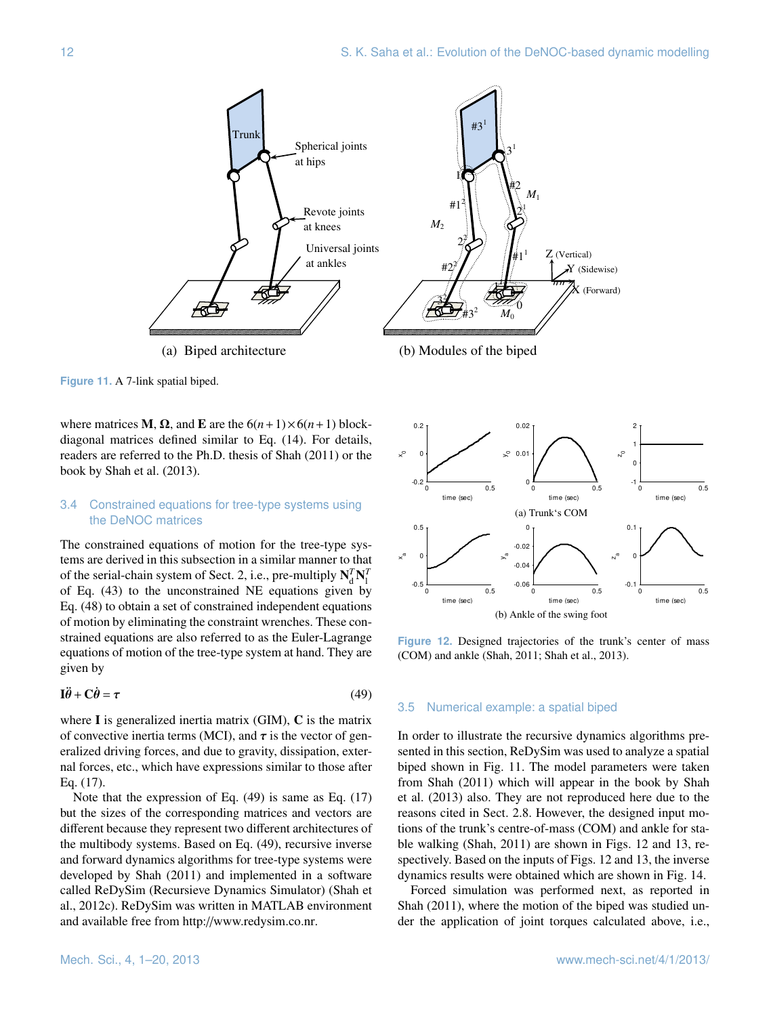

**Figure 11.** A 7-link spatial biped.

where matrices **M**,  $\Omega$ , and **E** are the  $6(n+1) \times 6(n+1)$  blockdiagonal matrices defined similar to Eq. (14). For details, readers are referred to the Ph.D. thesis of Shah (2011) or the book by Shah et al. (2013).

# 3.4 Constrained equations for tree-type systems using the DeNOC matrices

The constrained equations of motion for the tree-type systems are derived in this subsection in a similar manner to that of the serial-chain system of Sect. 2, i.e., pre-multiply  $N_d^T N_l^T$ of Eq. (43) to the unconstrained NE equations given by Eq. (48) to obtain a set of constrained independent equations of motion by eliminating the constraint wrenches. These constrained equations are also referred to as the Euler-Lagrange equations of motion of the tree-type system at hand. They are given by

$$
\mathbf{I}\ddot{\theta} + \mathbf{C}\dot{\theta} = \boldsymbol{\tau} \tag{49}
$$

where **I** is generalized inertia matrix (GIM), **C** is the matrix of convective inertia terms (MCI), and  $\tau$  is the vector of generalized driving forces, and due to gravity, dissipation, external forces, etc., which have expressions similar to those after Eq. (17).

Note that the expression of Eq. (49) is same as Eq. (17) but the sizes of the corresponding matrices and vectors are different because they represent two different architectures of the multibody systems. Based on Eq. (49), recursive inverse and forward dynamics algorithms for tree-type systems were developed by Shah (2011) and implemented in a software called ReDySim (Recursieve Dynamics Simulator) (Shah et al., 2012c). ReDySim was written in MATLAB environment and available free from http://www.redysim.co.nr.



Figure 12. Designed trajectories of the trunk's center of mass (COM) and ankle (Shah, 2011; Shah et al., 2013).

#### 3.5 Numerical example: a spatial biped

In order to illustrate the recursive dynamics algorithms presented in this section, ReDySim was used to analyze a spatial biped shown in Fig. 11. The model parameters were taken from Shah (2011) which will appear in the book by Shah et al. (2013) also. They are not reproduced here due to the reasons cited in Sect. 2.8. However, the designed input motions of the trunk's centre-of-mass (COM) and ankle for stable walking (Shah, 2011) are shown in Figs. 12 and 13, respectively. Based on the inputs of Figs. 12 and 13, the inverse dynamics results were obtained which are shown in Fig. 14.

Forced simulation was performed next, as reported in Shah (2011), where the motion of the biped was studied under the application of joint torques calculated above, i.e.,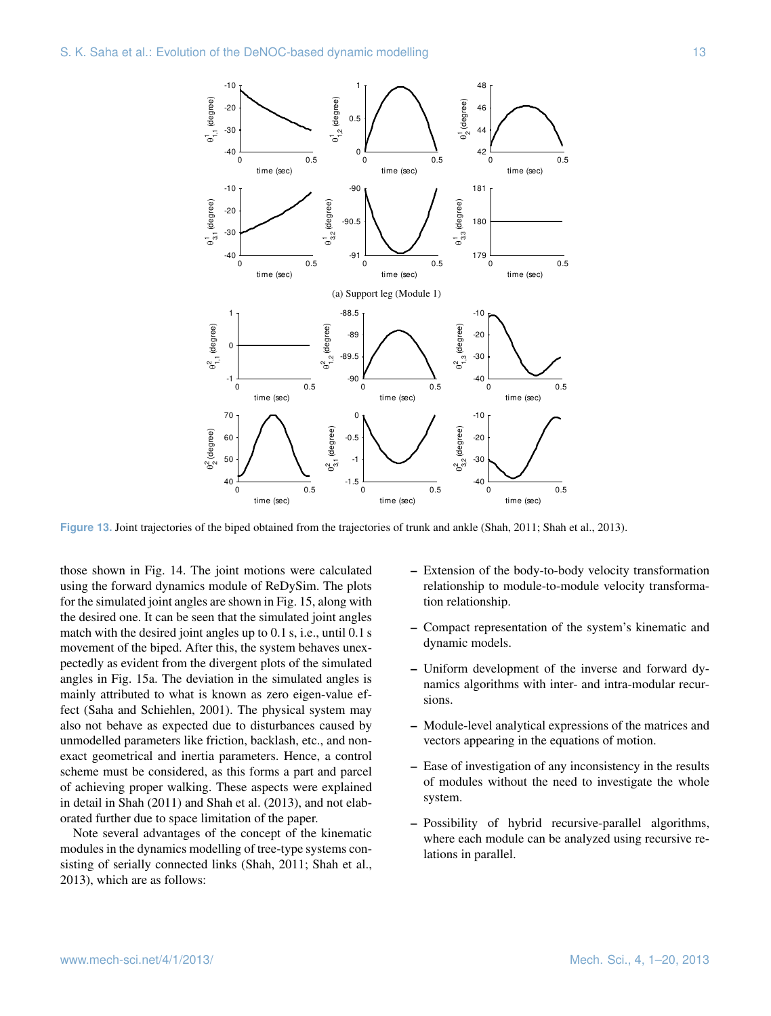

**Figure 13.** Joint trajectories of the biped obtained from the trajectories of trunk and ankle (Shah, 2011; Shah et al., 2013).

those shown in Fig. 14. The joint motions were calculated using the forward dynamics module of ReDySim. The plots for the simulated joint angles are shown in Fig. 15, along with the desired one. It can be seen that the simulated joint angles match with the desired joint angles up to 0.1 s, i.e., until 0.1 s movement of the biped. After this, the system behaves unexpectedly as evident from the divergent plots of the simulated angles in Fig. 15a. The deviation in the simulated angles is mainly attributed to what is known as zero eigen-value effect (Saha and Schiehlen, 2001). The physical system may also not behave as expected due to disturbances caused by unmodelled parameters like friction, backlash, etc., and nonexact geometrical and inertia parameters. Hence, a control scheme must be considered, as this forms a part and parcel of achieving proper walking. These aspects were explained in detail in Shah (2011) and Shah et al. (2013), and not elaborated further due to space limitation of the paper.

Note several advantages of the concept of the kinematic modules in the dynamics modelling of tree-type systems consisting of serially connected links (Shah, 2011; Shah et al., 2013), which are as follows:

- **–** Extension of the body-to-body velocity transformation relationship to module-to-module velocity transformation relationship.
- **–** Compact representation of the system's kinematic and dynamic models.
- **–** Uniform development of the inverse and forward dynamics algorithms with inter- and intra-modular recursions.
- **–** Module-level analytical expressions of the matrices and vectors appearing in the equations of motion.
- **–** Ease of investigation of any inconsistency in the results of modules without the need to investigate the whole system.
- **–** Possibility of hybrid recursive-parallel algorithms, where each module can be analyzed using recursive relations in parallel.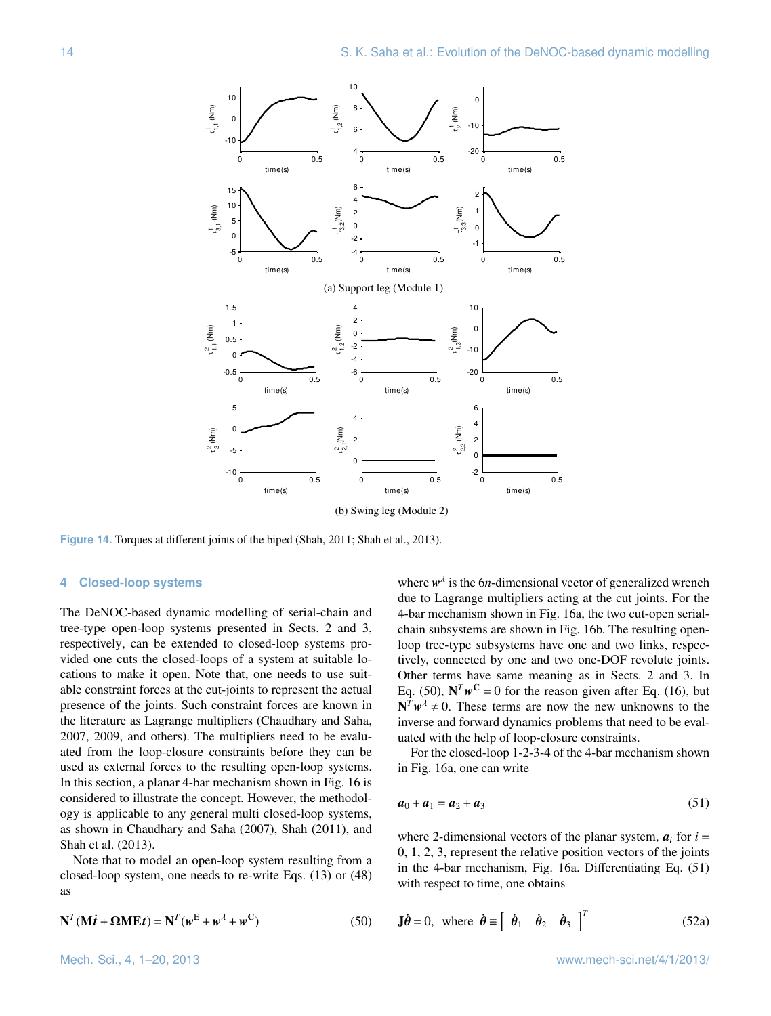

**Figure 14.** Torques at different joints of the biped (Shah, 2011; Shah et al., 2013).

#### **4 Closed-loop systems**

The DeNOC-based dynamic modelling of serial-chain and tree-type open-loop systems presented in Sects. 2 and 3, respectively, can be extended to closed-loop systems provided one cuts the closed-loops of a system at suitable locations to make it open. Note that, one needs to use suitable constraint forces at the cut-joints to represent the actual presence of the joints. Such constraint forces are known in the literature as Lagrange multipliers (Chaudhary and Saha, 2007, 2009, and others). The multipliers need to be evaluated from the loop-closure constraints before they can be used as external forces to the resulting open-loop systems. In this section, a planar 4-bar mechanism shown in Fig. 16 is considered to illustrate the concept. However, the methodology is applicable to any general multi closed-loop systems, as shown in Chaudhary and Saha (2007), Shah (2011), and Shah et al. (2013).

Note that to model an open-loop system resulting from a closed-loop system, one needs to re-write Eqs. (13) or (48) as

$$
\mathbf{N}^T(\mathbf{M}\dot{\mathbf{t}} + \mathbf{\Omega}\mathbf{M}\mathbf{E}\mathbf{t}) = \mathbf{N}^T(\mathbf{w}^{\mathbf{E}} + \mathbf{w}^{\lambda} + \mathbf{w}^{\mathbf{C}})
$$
(50)

where  $w^{\lambda}$  is the 6*n*-dimensional vector of generalized wrench due to Lagrange multipliers acting at the cut joints. For the 4-bar mechanism shown in Fig. 16a, the two cut-open serialchain subsystems are shown in Fig. 16b. The resulting openloop tree-type subsystems have one and two links, respectively, connected by one and two one-DOF revolute joints. Other terms have same meaning as in Sects. 2 and 3. In Eq. (50),  $N^T w^C = 0$  for the reason given after Eq. (16), but  $N^T w^{\lambda} \neq 0$ . These terms are now the new unknowns to the inverse and forward dynamics problems that need to be evaluated with the help of loop-closure constraints.

For the closed-loop 1-2-3-4 of the 4-bar mechanism shown in Fig. 16a, one can write

$$
\boldsymbol{a}_0 + \boldsymbol{a}_1 = \boldsymbol{a}_2 + \boldsymbol{a}_3 \tag{51}
$$

where 2-dimensional vectors of the planar system,  $a_i$  for  $i =$ 0, 1, 2, 3, represent the relative position vectors of the joints in the 4-bar mechanism, Fig. 16a. Differentiating Eq. (51) with respect to time, one obtains

$$
\mathbf{J}\dot{\boldsymbol{\theta}} = 0, \text{ where } \dot{\boldsymbol{\theta}} \equiv \begin{bmatrix} \dot{\boldsymbol{\theta}}_1 & \dot{\boldsymbol{\theta}}_2 & \dot{\boldsymbol{\theta}}_3 \end{bmatrix}^T \tag{52a}
$$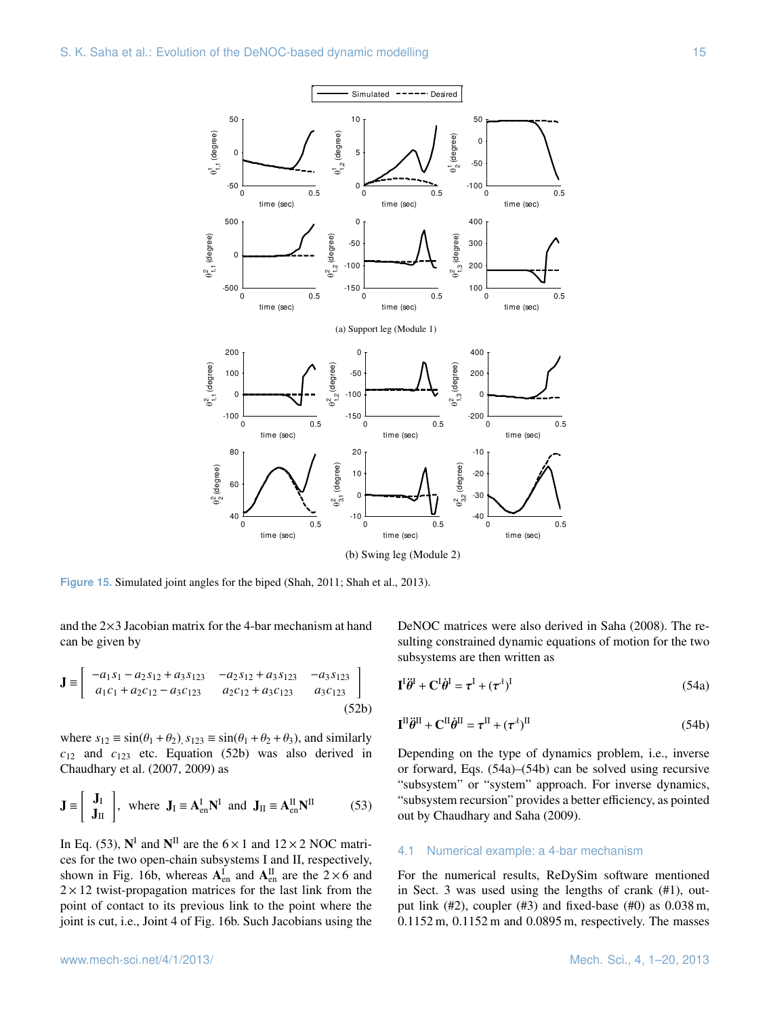

**Figure 15.** Simulated joint angles for the biped (Shah, 2011; Shah et al., 2013).

and the  $2\times3$  Jacobian matrix for the 4-bar mechanism at hand can be given by

$$
\mathbf{J} \equiv \begin{bmatrix} -a_1 s_1 - a_2 s_{12} + a_3 s_{123} & -a_2 s_{12} + a_3 s_{123} & -a_3 s_{123} \\ a_1 c_1 + a_2 c_{12} - a_3 c_{123} & a_2 c_{12} + a_3 c_{123} & a_3 c_{123} \end{bmatrix}
$$
(52b)

where  $s_{12} \equiv \sin(\theta_1 + \theta_2)$ ,  $s_{123} \equiv \sin(\theta_1 + \theta_2 + \theta_3)$ , and similarly  $c_{12}$  and  $c_{123}$  etc. Equation (52b) was also derived in Chaudhary et al. (2007, 2009) as

$$
\mathbf{J} \equiv \begin{bmatrix} \mathbf{J}_{\mathrm{I}} \\ \mathbf{J}_{\mathrm{II}} \end{bmatrix}, \text{ where } \mathbf{J}_{\mathrm{I}} \equiv \mathbf{A}_{\mathrm{en}}^{\mathrm{I}} \mathbf{N}^{\mathrm{I}} \text{ and } \mathbf{J}_{\mathrm{II}} \equiv \mathbf{A}_{\mathrm{en}}^{\mathrm{II}} \mathbf{N}^{\mathrm{II}} \tag{53}
$$

In Eq. (53),  $N^I$  and  $N^II$  are the  $6 \times 1$  and  $12 \times 2$  NOC matrices for the two open-chain subsystems I and II, respectively, shown in Fig. 16b, whereas  $A_{en}^I$  and  $A_{en}^{II}$  are the 2 × 6 and  $2 \times 12$  twist-propagation matrices for the last link from the point of contact to its previous link to the point where the joint is cut, i.e., Joint 4 of Fig. 16b. Such Jacobians using the DeNOC matrices were also derived in Saha (2008). The resulting constrained dynamic equations of motion for the two subsystems are then written as

$$
\mathbf{I}^{\mathrm{T}}\ddot{\theta}^{\mathrm{T}} + \mathbf{C}^{\mathrm{T}}\dot{\theta}^{\mathrm{T}} = \boldsymbol{\tau}^{\mathrm{T}} + (\boldsymbol{\tau}^{\lambda})^{\mathrm{T}} \tag{54a}
$$

$$
\mathbf{I}^{\mathrm{II}}\ddot{\theta}^{\mathrm{II}} + \mathbf{C}^{\mathrm{II}}\dot{\theta}^{\mathrm{II}} = \boldsymbol{\tau}^{\mathrm{II}} + (\boldsymbol{\tau}^{\lambda})^{\mathrm{II}} \tag{54b}
$$

Depending on the type of dynamics problem, i.e., inverse or forward, Eqs. (54a)–(54b) can be solved using recursive "subsystem" or "system" approach. For inverse dynamics, "subsystem recursion" provides a better efficiency, as pointed out by Chaudhary and Saha (2009).

# 4.1 Numerical example: a 4-bar mechanism

For the numerical results, ReDySim software mentioned in Sect. 3 was used using the lengths of crank (#1), output link (#2), coupler (#3) and fixed-base (#0) as 0.038 m, 0.1152 m, 0.1152 m and 0.0895 m, respectively. The masses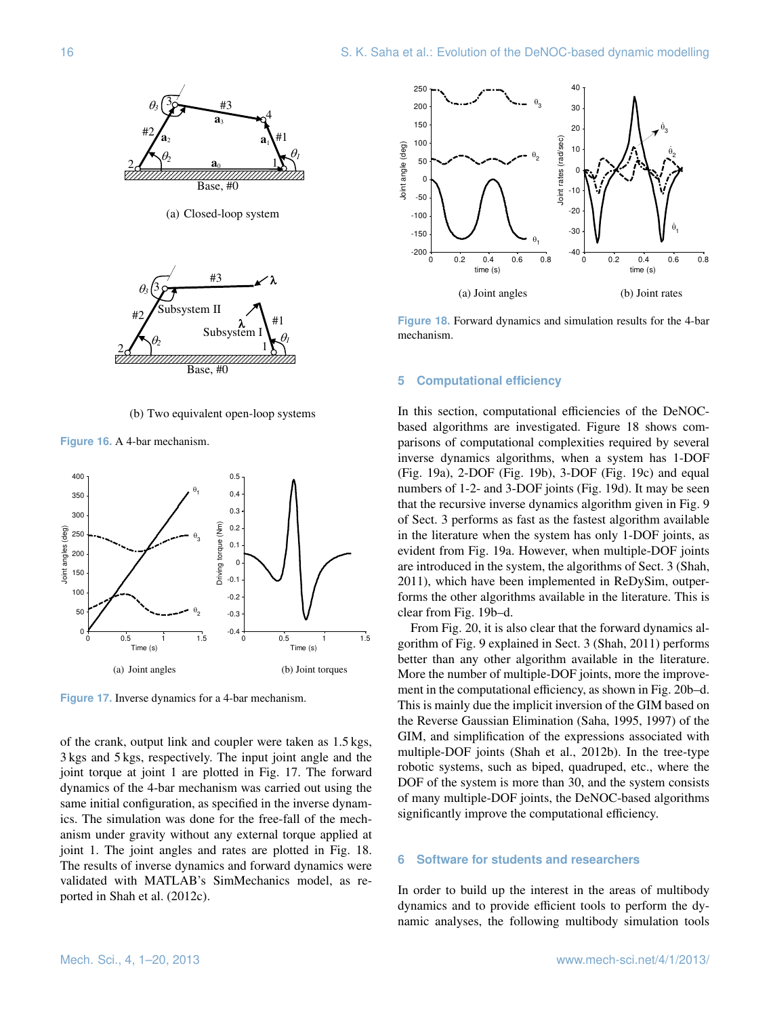

(b) Two equivalent open-loop systems

**Figure 16.** A 4-bar mechanism.



**Figure 17.** Inverse dynamics for a 4-bar mechanism.

of the crank, output link and coupler were taken as 1.5 kgs, 3 kgs and 5 kgs, respectively. The input joint angle and the joint torque at joint 1 are plotted in Fig. 17. The forward dynamics of the 4-bar mechanism was carried out using the same initial configuration, as specified in the inverse dynamics. The simulation was done for the free-fall of the mechanism under gravity without any external torque applied at joint 1. The joint angles and rates are plotted in Fig. 18. The results of inverse dynamics and forward dynamics were validated with MATLAB's SimMechanics model, as reported in Shah et al. (2012c).



**Figure 18.** Forward dynamics and simulation results for the 4-bar mechanism.

#### **5 Computational efficiency**

In this section, computational efficiencies of the DeNOCbased algorithms are investigated. Figure 18 shows comparisons of computational complexities required by several inverse dynamics algorithms, when a system has 1-DOF (Fig. 19a), 2-DOF (Fig. 19b), 3-DOF (Fig. 19c) and equal numbers of 1-2- and 3-DOF joints (Fig. 19d). It may be seen that the recursive inverse dynamics algorithm given in Fig. 9 of Sect. 3 performs as fast as the fastest algorithm available in the literature when the system has only 1-DOF joints, as evident from Fig. 19a. However, when multiple-DOF joints are introduced in the system, the algorithms of Sect. 3 (Shah, 2011), which have been implemented in ReDySim, outperforms the other algorithms available in the literature. This is clear from Fig. 19b–d.

From Fig. 20, it is also clear that the forward dynamics algorithm of Fig. 9 explained in Sect. 3 (Shah, 2011) performs better than any other algorithm available in the literature. More the number of multiple-DOF joints, more the improvement in the computational efficiency, as shown in Fig. 20b–d. This is mainly due the implicit inversion of the GIM based on the Reverse Gaussian Elimination (Saha, 1995, 1997) of the GIM, and simplification of the expressions associated with multiple-DOF joints (Shah et al., 2012b). In the tree-type robotic systems, such as biped, quadruped, etc., where the DOF of the system is more than 30, and the system consists of many multiple-DOF joints, the DeNOC-based algorithms significantly improve the computational efficiency.

#### **6 Software for students and researchers**

In order to build up the interest in the areas of multibody dynamics and to provide efficient tools to perform the dynamic analyses, the following multibody simulation tools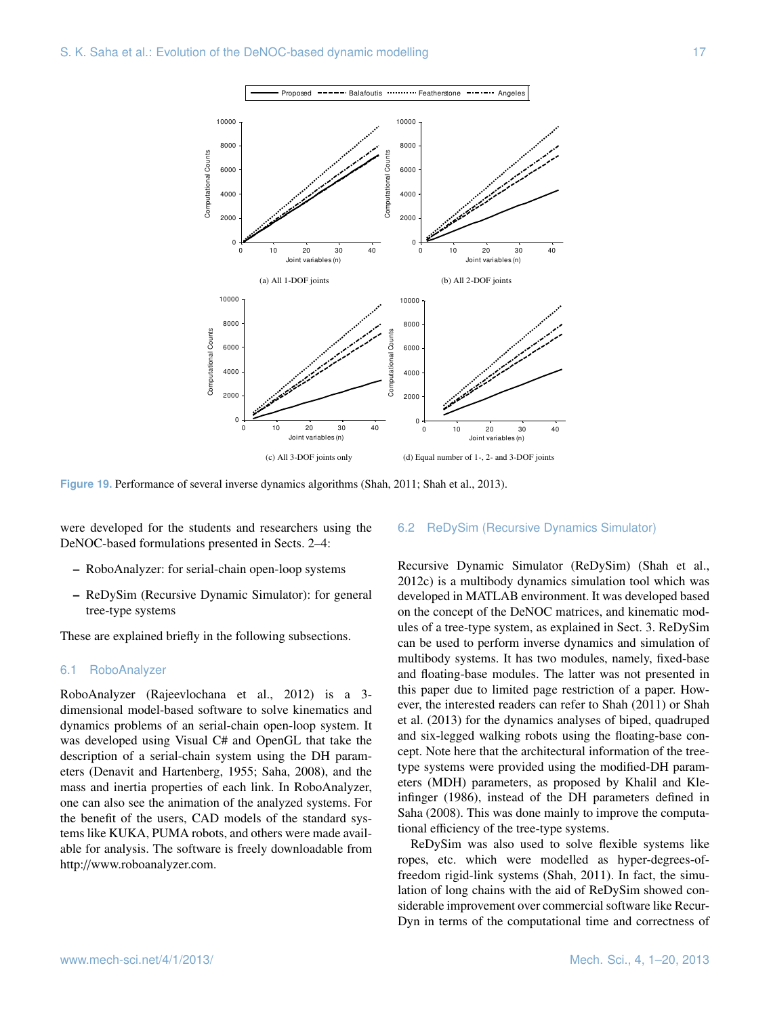

**Figure 19.** Performance of several inverse dynamics algorithms (Shah, 2011; Shah et al., 2013).

were developed for the students and researchers using the DeNOC-based formulations presented in Sects. 2–4:

- **–** RoboAnalyzer: for serial-chain open-loop systems
- **–** ReDySim (Recursive Dynamic Simulator): for general tree-type systems

These are explained briefly in the following subsections.

#### 6.1 RoboAnalyzer

RoboAnalyzer (Rajeevlochana et al., 2012) is a 3 dimensional model-based software to solve kinematics and dynamics problems of an serial-chain open-loop system. It was developed using Visual C# and OpenGL that take the description of a serial-chain system using the DH parameters (Denavit and Hartenberg, 1955; Saha, 2008), and the mass and inertia properties of each link. In RoboAnalyzer, one can also see the animation of the analyzed systems. For the benefit of the users, CAD models of the standard systems like KUKA, PUMA robots, and others were made available for analysis. The software is freely downloadable from http://www.roboanalyzer.com.

#### 6.2 ReDySim (Recursive Dynamics Simulator)

Recursive Dynamic Simulator (ReDySim) (Shah et al., 2012c) is a multibody dynamics simulation tool which was developed in MATLAB environment. It was developed based on the concept of the DeNOC matrices, and kinematic modules of a tree-type system, as explained in Sect. 3. ReDySim can be used to perform inverse dynamics and simulation of multibody systems. It has two modules, namely, fixed-base and floating-base modules. The latter was not presented in this paper due to limited page restriction of a paper. However, the interested readers can refer to Shah (2011) or Shah et al. (2013) for the dynamics analyses of biped, quadruped and six-legged walking robots using the floating-base concept. Note here that the architectural information of the treetype systems were provided using the modified-DH parameters (MDH) parameters, as proposed by Khalil and Kleinfinger (1986), instead of the DH parameters defined in Saha (2008). This was done mainly to improve the computational efficiency of the tree-type systems.

ReDySim was also used to solve flexible systems like ropes, etc. which were modelled as hyper-degrees-offreedom rigid-link systems (Shah, 2011). In fact, the simulation of long chains with the aid of ReDySim showed considerable improvement over commercial software like Recur-Dyn in terms of the computational time and correctness of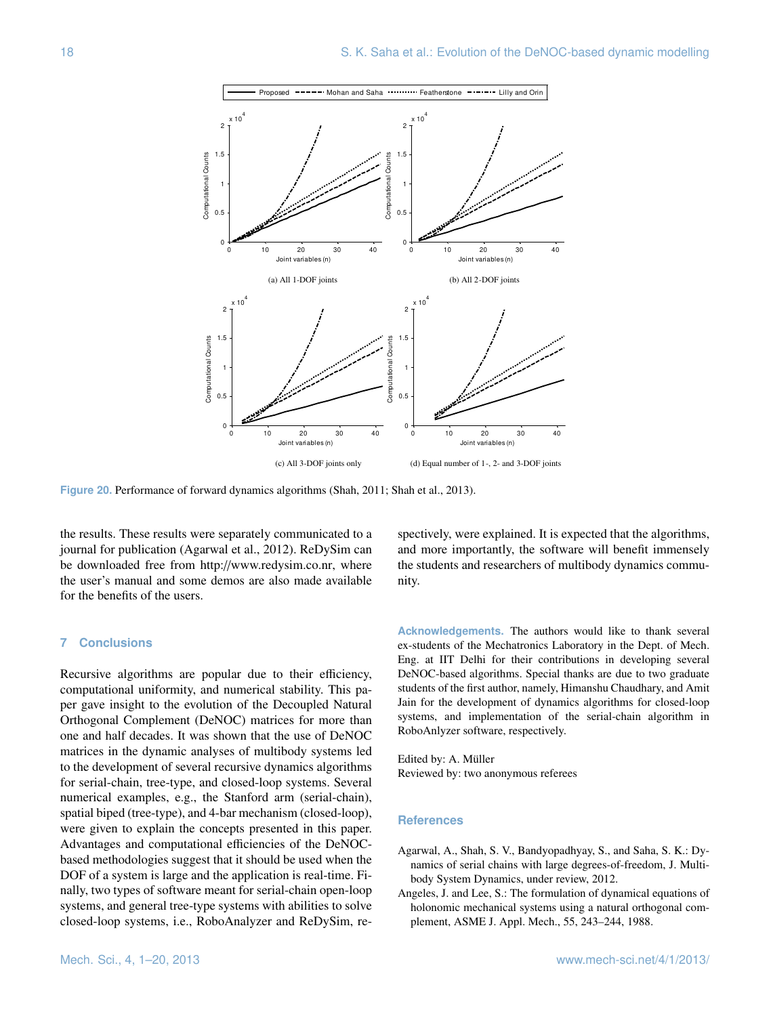

**Figure 20.** Performance of forward dynamics algorithms (Shah, 2011; Shah et al., 2013).

the results. These results were separately communicated to a journal for publication (Agarwal et al., 2012). ReDySim can be downloaded free from http://www.redysim.co.nr, where the user's manual and some demos are also made available for the benefits of the users.

# **7 Conclusions**

Recursive algorithms are popular due to their efficiency, computational uniformity, and numerical stability. This paper gave insight to the evolution of the Decoupled Natural Orthogonal Complement (DeNOC) matrices for more than one and half decades. It was shown that the use of DeNOC matrices in the dynamic analyses of multibody systems led to the development of several recursive dynamics algorithms for serial-chain, tree-type, and closed-loop systems. Several numerical examples, e.g., the Stanford arm (serial-chain), spatial biped (tree-type), and 4-bar mechanism (closed-loop), were given to explain the concepts presented in this paper. Advantages and computational efficiencies of the DeNOCbased methodologies suggest that it should be used when the DOF of a system is large and the application is real-time. Finally, two types of software meant for serial-chain open-loop systems, and general tree-type systems with abilities to solve closed-loop systems, i.e., RoboAnalyzer and ReDySim, re-

spectively, were explained. It is expected that the algorithms, and more importantly, the software will benefit immensely the students and researchers of multibody dynamics community.

**Acknowledgements.** The authors would like to thank several ex-students of the Mechatronics Laboratory in the Dept. of Mech. Eng. at IIT Delhi for their contributions in developing several DeNOC-based algorithms. Special thanks are due to two graduate students of the first author, namely, Himanshu Chaudhary, and Amit Jain for the development of dynamics algorithms for closed-loop systems, and implementation of the serial-chain algorithm in RoboAnlyzer software, respectively.

Edited by: A. Müller Reviewed by: two anonymous referees

#### **References**

- Agarwal, A., Shah, S. V., Bandyopadhyay, S., and Saha, S. K.: Dynamics of serial chains with large degrees-of-freedom, J. Multibody System Dynamics, under review, 2012.
- Angeles, J. and Lee, S.: The formulation of dynamical equations of holonomic mechanical systems using a natural orthogonal complement, ASME J. Appl. Mech., 55, 243–244, 1988.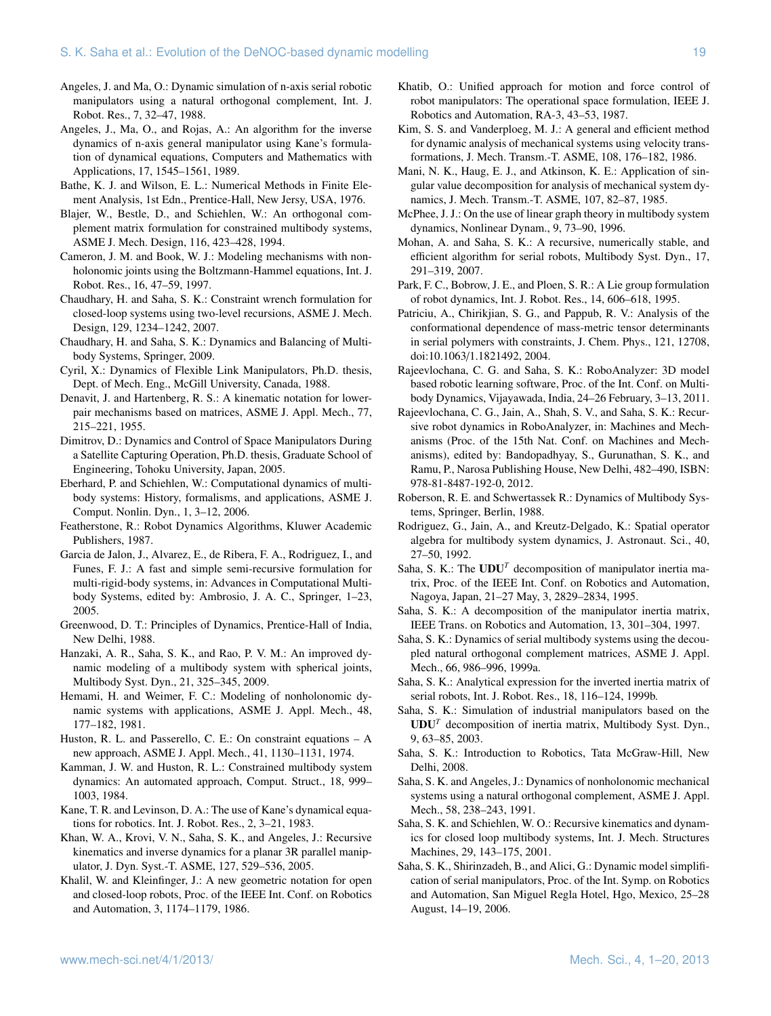#### S. K. Saha et al.: Evolution of the DeNOC-based dynamic modelling 19 19

- Angeles, J. and Ma, O.: Dynamic simulation of n-axis serial robotic manipulators using a natural orthogonal complement, Int. J. Robot. Res., 7, 32–47, 1988.
- Angeles, J., Ma, O., and Rojas, A.: An algorithm for the inverse dynamics of n-axis general manipulator using Kane's formulation of dynamical equations, Computers and Mathematics with Applications, 17, 1545–1561, 1989.
- Bathe, K. J. and Wilson, E. L.: Numerical Methods in Finite Element Analysis, 1st Edn., Prentice-Hall, New Jersy, USA, 1976.
- Blajer, W., Bestle, D., and Schiehlen, W.: An orthogonal complement matrix formulation for constrained multibody systems, ASME J. Mech. Design, 116, 423–428, 1994.
- Cameron, J. M. and Book, W. J.: Modeling mechanisms with nonholonomic joints using the Boltzmann-Hammel equations, Int. J. Robot. Res., 16, 47–59, 1997.
- Chaudhary, H. and Saha, S. K.: Constraint wrench formulation for closed-loop systems using two-level recursions, ASME J. Mech. Design, 129, 1234–1242, 2007.
- Chaudhary, H. and Saha, S. K.: Dynamics and Balancing of Multibody Systems, Springer, 2009.
- Cyril, X.: Dynamics of Flexible Link Manipulators, Ph.D. thesis, Dept. of Mech. Eng., McGill University, Canada, 1988.
- Denavit, J. and Hartenberg, R. S.: A kinematic notation for lowerpair mechanisms based on matrices, ASME J. Appl. Mech., 77, 215–221, 1955.
- Dimitrov, D.: Dynamics and Control of Space Manipulators During a Satellite Capturing Operation, Ph.D. thesis, Graduate School of Engineering, Tohoku University, Japan, 2005.
- Eberhard, P. and Schiehlen, W.: Computational dynamics of multibody systems: History, formalisms, and applications, ASME J. Comput. Nonlin. Dyn., 1, 3–12, 2006.
- Featherstone, R.: Robot Dynamics Algorithms, Kluwer Academic Publishers, 1987.
- Garcia de Jalon, J., Alvarez, E., de Ribera, F. A., Rodriguez, I., and Funes, F. J.: A fast and simple semi-recursive formulation for multi-rigid-body systems, in: Advances in Computational Multibody Systems, edited by: Ambrosio, J. A. C., Springer, 1–23, 2005.
- Greenwood, D. T.: Principles of Dynamics, Prentice-Hall of India, New Delhi, 1988.
- Hanzaki, A. R., Saha, S. K., and Rao, P. V. M.: An improved dynamic modeling of a multibody system with spherical joints, Multibody Syst. Dyn., 21, 325–345, 2009.
- Hemami, H. and Weimer, F. C.: Modeling of nonholonomic dynamic systems with applications, ASME J. Appl. Mech., 48, 177–182, 1981.
- Huston, R. L. and Passerello, C. E.: On constraint equations A new approach, ASME J. Appl. Mech., 41, 1130–1131, 1974.
- Kamman, J. W. and Huston, R. L.: Constrained multibody system dynamics: An automated approach, Comput. Struct., 18, 999– 1003, 1984.
- Kane, T. R. and Levinson, D. A.: The use of Kane's dynamical equations for robotics. Int. J. Robot. Res., 2, 3–21, 1983.
- Khan, W. A., Krovi, V. N., Saha, S. K., and Angeles, J.: Recursive kinematics and inverse dynamics for a planar 3R parallel manipulator, J. Dyn. Syst.-T. ASME, 127, 529–536, 2005.
- Khalil, W. and Kleinfinger, J.: A new geometric notation for open and closed-loop robots, Proc. of the IEEE Int. Conf. on Robotics and Automation, 3, 1174–1179, 1986.
- Khatib, O.: Unified approach for motion and force control of robot manipulators: The operational space formulation, IEEE J. Robotics and Automation, RA-3, 43–53, 1987.
- Kim, S. S. and Vanderploeg, M. J.: A general and efficient method for dynamic analysis of mechanical systems using velocity transformations, J. Mech. Transm.-T. ASME, 108, 176–182, 1986.
- Mani, N. K., Haug, E. J., and Atkinson, K. E.: Application of singular value decomposition for analysis of mechanical system dynamics, J. Mech. Transm.-T. ASME, 107, 82–87, 1985.
- McPhee, J. J.: On the use of linear graph theory in multibody system dynamics, Nonlinear Dynam., 9, 73–90, 1996.
- Mohan, A. and Saha, S. K.: A recursive, numerically stable, and efficient algorithm for serial robots, Multibody Syst. Dyn., 17, 291–319, 2007.
- Park, F. C., Bobrow, J. E., and Ploen, S. R.: A Lie group formulation of robot dynamics, Int. J. Robot. Res., 14, 606–618, 1995.
- Patriciu, A., Chirikjian, S. G., and Pappub, R. V.: Analysis of the conformational dependence of mass-metric tensor determinants in serial polymers with constraints, J. Chem. Phys., 121, 12708, doi:10.1063/1.1821492, 2004.
- Rajeevlochana, C. G. and Saha, S. K.: RoboAnalyzer: 3D model based robotic learning software, Proc. of the Int. Conf. on Multibody Dynamics, Vijayawada, India, 24–26 February, 3–13, 2011.
- Rajeevlochana, C. G., Jain, A., Shah, S. V., and Saha, S. K.: Recursive robot dynamics in RoboAnalyzer, in: Machines and Mechanisms (Proc. of the 15th Nat. Conf. on Machines and Mechanisms), edited by: Bandopadhyay, S., Gurunathan, S. K., and Ramu, P., Narosa Publishing House, New Delhi, 482–490, ISBN: 978-81-8487-192-0, 2012.
- Roberson, R. E. and Schwertassek R.: Dynamics of Multibody Systems, Springer, Berlin, 1988.
- Rodriguez, G., Jain, A., and Kreutz-Delgado, K.: Spatial operator algebra for multibody system dynamics, J. Astronaut. Sci., 40, 27–50, 1992.
- Saha, S. K.: The  $\mathbf{U}\mathbf{D}\mathbf{U}^T$  decomposition of manipulator inertia matrix, Proc. of the IEEE Int. Conf. on Robotics and Automation, Nagoya, Japan, 21–27 May, 3, 2829–2834, 1995.
- Saha, S. K.: A decomposition of the manipulator inertia matrix, IEEE Trans. on Robotics and Automation, 13, 301–304, 1997.
- Saha, S. K.: Dynamics of serial multibody systems using the decoupled natural orthogonal complement matrices, ASME J. Appl. Mech., 66, 986–996, 1999a.
- Saha, S. K.: Analytical expression for the inverted inertia matrix of serial robots, Int. J. Robot. Res., 18, 116–124, 1999b.
- Saha, S. K.: Simulation of industrial manipulators based on the **UDU***<sup>T</sup>* decomposition of inertia matrix, Multibody Syst. Dyn., 9, 63–85, 2003.
- Saha, S. K.: Introduction to Robotics, Tata McGraw-Hill, New Delhi, 2008.
- Saha, S. K. and Angeles, J.: Dynamics of nonholonomic mechanical systems using a natural orthogonal complement, ASME J. Appl. Mech., 58, 238–243, 1991.
- Saha, S. K. and Schiehlen, W. O.: Recursive kinematics and dynamics for closed loop multibody systems, Int. J. Mech. Structures Machines, 29, 143–175, 2001.
- Saha, S. K., Shirinzadeh, B., and Alici, G.: Dynamic model simplification of serial manipulators, Proc. of the Int. Symp. on Robotics and Automation, San Miguel Regla Hotel, Hgo, Mexico, 25–28 August, 14–19, 2006.